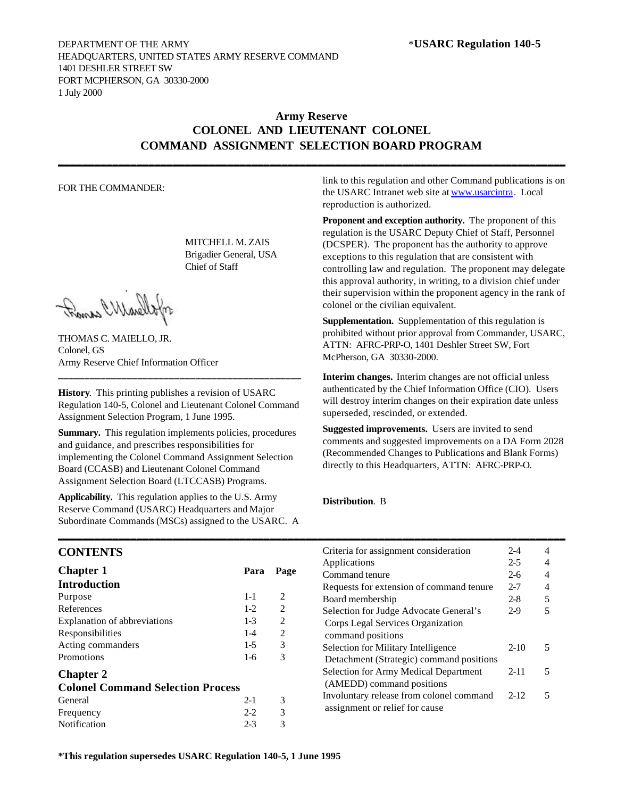## **Army Reserve COLONEL AND LIEUTENANT COLONEL COMMAND ASSIGNMENT SELECTION BOARD PROGRAM**

**\_\_\_\_\_\_\_\_\_\_\_\_\_\_\_\_\_\_\_\_\_\_\_\_\_\_\_\_\_\_\_\_\_\_\_\_\_\_\_\_\_\_\_\_\_\_\_\_\_\_\_\_\_\_\_\_\_\_\_\_\_\_\_\_\_\_\_\_\_\_\_\_\_\_\_\_\_\_\_\_\_\_\_\_**

### FOR THE COMMANDER:

MITCHELL M. ZAIS Brigadier General, USA Chief of Staff

Frank Wharells

THOMAS C. MAIELLO, JR. Colonel, GS Army Reserve Chief Information Officer

**History**. This printing publishes a revision of USARC Regulation 140-5, Colonel and Lieutenant Colonel Command Assignment Selection Program, 1 June 1995.

**\_\_\_\_\_\_\_\_\_\_\_\_\_\_\_\_\_\_\_\_\_\_\_\_\_\_\_\_\_\_\_\_\_\_\_\_\_\_\_\_\_\_\_\_\_\_**

**Summary.** This regulation implements policies, procedures and guidance, and prescribes responsibilities for implementing the Colonel Command Assignment Selection Board (CCASB) and Lieutenant Colonel Command Assignment Selection Board (LTCCASB) Programs.

**Applicability.** This regulation applies to the U.S. Army Reserve Command (USARC) Headquarters and Major Subordinate Commands (MSCs) assigned to the USARC. A link to this regulation and other Command publications is on the USARC Intranet web site at www.usarcintra. Local reproduction is authorized.

**Proponent and exception authority.** The proponent of this regulation is the USARC Deputy Chief of Staff, Personnel (DCSPER). The proponent has the authority to approve exceptions to this regulation that are consistent with controlling law and regulation. The proponent may delegate this approval authority, in writing, to a division chief under their supervision within the proponent agency in the rank of colonel or the civilian equivalent.

**Supplementation.** Supplementation of this regulation is prohibited without prior approval from Commander, USARC, ATTN: AFRC-PRP-O, 1401 Deshler Street SW, Fort McPherson, GA 30330-2000.

**Interim changes.** Interim changes are not official unless authenticated by the Chief Information Office (CIO). Users will destroy interim changes on their expiration date unless superseded, rescinded, or extended.

**Suggested improvements.** Users are invited to send comments and suggested improvements on a DA Form 2028 (Recommended Changes to Publications and Blank Forms) directly to this Headquarters, ATTN: AFRC-PRP-O.

### **Distribution**. B

**\_\_\_\_\_\_\_\_\_\_\_\_\_\_\_\_\_\_\_\_\_\_\_\_\_\_\_\_\_\_\_\_\_\_\_\_\_\_\_\_\_\_\_\_\_\_\_\_\_\_\_\_\_\_\_\_\_\_\_\_\_\_\_\_\_\_\_\_\_\_\_\_\_\_\_\_\_\_\_\_\_\_\_\_**

## **CONTENTS**

| <b>Chapter 1</b>                         | Para    | Page |
|------------------------------------------|---------|------|
| <b>Introduction</b>                      |         |      |
| Purpose                                  | $1 - 1$ | 2    |
| References                               | $1-2$   | 2    |
| Explanation of abbreviations             | $1 - 3$ | 2    |
| Responsibilities                         | $1-4$   | 2    |
| Acting commanders                        | $1-5$   | 3    |
| Promotions                               | $1 - 6$ | 3    |
| <b>Chapter 2</b>                         |         |      |
| <b>Colonel Command Selection Process</b> |         |      |
| General                                  | $2 - 1$ | 3    |
| Frequency                                | $2 - 2$ | 3    |
| Notification                             | $2 - 3$ | 3    |

| Criteria for assignment consideration                                      | $2 - 4$  |   |
|----------------------------------------------------------------------------|----------|---|
| Applications                                                               | $2-5$    |   |
| Command tenure                                                             | $2-6$    |   |
| Requests for extension of command tenure                                   | $2 - 7$  |   |
| Board membership                                                           | $2 - 8$  | 5 |
| Selection for Judge Advocate General's                                     | $2-9$    |   |
| Corps Legal Services Organization<br>command positions                     |          |   |
| Selection for Military Intelligence                                        | $2-10$   | 5 |
| Detachment (Strategic) command positions                                   |          |   |
| <b>Selection for Army Medical Department</b><br>(AMEDD) command positions  | $2 - 11$ | 5 |
| Involuntary release from colonel command<br>assignment or relief for cause | $2 - 12$ | 5 |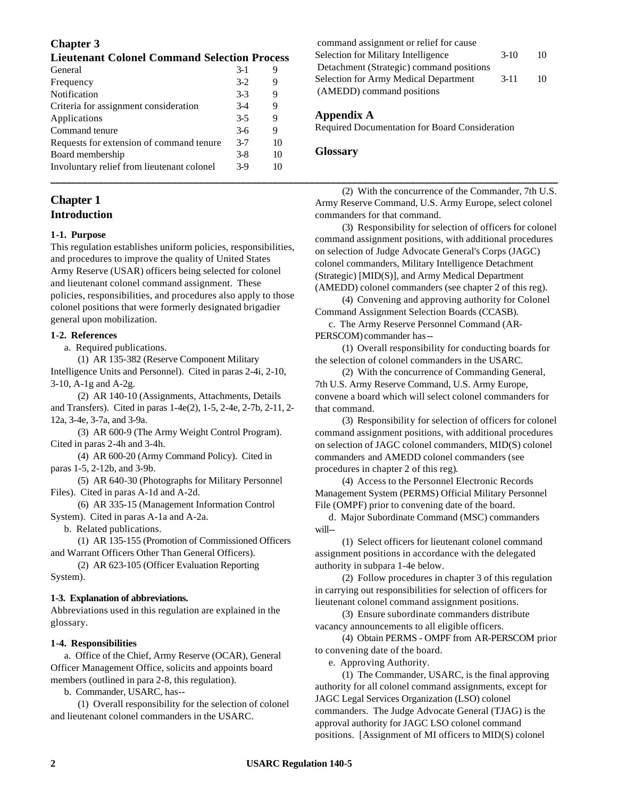## **Chapter 3**

| General                                    | $3-1$   | 9  | Detachment (Strategic) command positions              |
|--------------------------------------------|---------|----|-------------------------------------------------------|
| Frequency                                  | $3-2$   | 9  | Selection for Army Medical Department<br>10<br>$3-11$ |
| Notification                               | $3 - 3$ | 9  | (AMEDD) command positions                             |
| Criteria for assignment consideration      | $3-4$   | 9  |                                                       |
| Applications                               | $3-5$   | 9  | Appendix A                                            |
| Command tenure                             | $3-6$   | Q  | <b>Required Documentation for Board Consideration</b> |
| Requests for extension of command tenure   | $3 - 7$ | 10 |                                                       |
| Board membership                           | $3-8$   | 10 | <b>Glossary</b>                                       |
| Involuntary relief from lieutenant colonel | $3-9$   | 10 |                                                       |
|                                            |         |    |                                                       |

## **Chapter 1 Introduction**

## **1-1. Purpose**

This regulation establishes uniform policies, responsibilities, and procedures to improve the quality of United States Army Reserve (USAR) officers being selected for colonel and lieutenant colonel command assignment. These policies, responsibilities, and procedures also apply to those colonel positions that were formerly designated brigadier general upon mobilization.

### **1-2. References**

a. Required publications.

(1) AR 135-382 (Reserve Component Military Intelligence Units and Personnel). Cited in paras 2-4i, 2-10, 3-10, A-1g and A-2g.

(2) AR 140-10 (Assignments, Attachments, Details and Transfers). Cited in paras 1-4e(2), 1-5, 2-4e, 2-7b, 2-11, 2- 12a, 3-4e, 3-7a, and 3-9a.

(3) AR 600-9 (The Army Weight Control Program). Cited in paras 2-4h and 3-4h.

(4) AR 600-20 (Army Command Policy). Cited in paras 1-5, 2-12b, and 3-9b.

(5) AR 640-30 (Photographs for Military Personnel Files). Cited in paras A-1d and A-2d.

(6) AR 335-15 (Management Information Control System). Cited in paras A-1a and A-2a.

b. Related publications.

(1) AR 135-155 (Promotion of Commissioned Officers and Warrant Officers Other Than General Officers).

(2) AR 623-105 (Officer Evaluation Reporting System).

## **1-3. Explanation of abbreviations.**

Abbreviations used in this regulation are explained in the glossary.

### **1-4. Responsibilities**

a. Office of the Chief, Army Reserve (OCAR), General Officer Management Office, solicits and appoints board members (outlined in para 2-8, this regulation).

b. Commander, USARC, has--

(1) Overall responsibility for the selection of colonel and lieutenant colonel commanders in the USARC.

command assignment or relief for cause Selection for Military Intelligence 3-10 10 Detachment (Strategic) command positions Selection for Army Medical Department 3-11 10 (AMEDD) command positions

### **Appendix A**

### **Glossary**

(2) With the concurrence of the Commander, 7th U.S. Army Reserve Command, U.S. Army Europe, select colonel commanders for that command.

(3) Responsibility for selection of officers for colonel command assignment positions, with additional procedures on selection of Judge Advocate General's Corps (JAGC) colonel commanders, Military Intelligence Detachment (Strategic) [MID(S)], and Army Medical Department (AMEDD) colonel commanders (see chapter 2 of this reg).

(4) Convening and approving authority for Colonel Command Assignment Selection Boards (CCASB).

c. The Army Reserve Personnel Command (AR-PERSCOM) commander has--

(1) Overall responsibility for conducting boards for the selection of colonel commanders in the USARC.

(2) With the concurrence of Commanding General, 7th U.S. Army Reserve Command, U.S. Army Europe, convene a board which will select colonel commanders for that command.

(3) Responsibility for selection of officers for colonel command assignment positions, with additional procedures on selection of JAGC colonel commanders, MID(S) colonel commanders and AMEDD colonel commanders (see procedures in chapter 2 of this reg).

(4) Access to the Personnel Electronic Records Management System (PERMS) Official Military Personnel File (OMPF) prior to convening date of the board.

d. Major Subordinate Command (MSC) commanders will--

(1) Select officers for lieutenant colonel command assignment positions in accordance with the delegated authority in subpara 1-4e below.

(2) Follow procedures in chapter 3 of this regulation in carrying out responsibilities for selection of officers for lieutenant colonel command assignment positions.

(3) Ensure subordinate commanders distribute vacancy announcements to all eligible officers.

(4) Obtain PERMS - OMPF from AR-PERSCOM prior to convening date of the board.

e. Approving Authority.

(1) The Commander, USARC, is the final approving authority for all colonel command assignments, except for JAGC Legal Services Organization (LSO) colonel commanders. The Judge Advocate General (TJAG) is the approval authority for JAGC LSO colonel command positions. [Assignment of MI officers to MID(S) colonel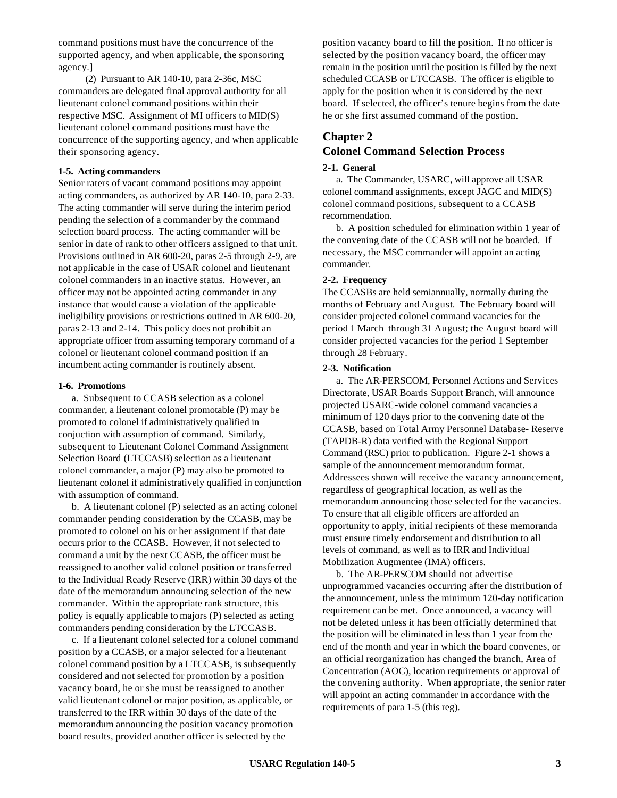command positions must have the concurrence of the supported agency, and when applicable, the sponsoring agency.]

(2) Pursuant to AR 140-10, para 2-36c, MSC commanders are delegated final approval authority for all lieutenant colonel command positions within their respective MSC. Assignment of MI officers to MID(S) lieutenant colonel command positions must have the concurrence of the supporting agency, and when applicable their sponsoring agency.

### **1-5. Acting commanders**

Senior raters of vacant command positions may appoint acting commanders, as authorized by AR 140-10, para 2-33. The acting commander will serve during the interim period pending the selection of a commander by the command selection board process. The acting commander will be senior in date of rank to other officers assigned to that unit. Provisions outlined in AR 600-20, paras 2-5 through 2-9, are not applicable in the case of USAR colonel and lieutenant colonel commanders in an inactive status. However, an officer may not be appointed acting commander in any instance that would cause a violation of the applicable ineligibility provisions or restrictions outined in AR 600-20, paras 2-13 and 2-14. This policy does not prohibit an appropriate officer from assuming temporary command of a colonel or lieutenant colonel command position if an incumbent acting commander is routinely absent.

#### **1-6. Promotions**

a. Subsequent to CCASB selection as a colonel commander, a lieutenant colonel promotable (P) may be promoted to colonel if administratively qualified in conjuction with assumption of command. Similarly, subsequent to Lieutenant Colonel Command Assignment Selection Board (LTCCASB) selection as a lieutenant colonel commander, a major (P) may also be promoted to lieutenant colonel if administratively qualified in conjunction with assumption of command.

b. A lieutenant colonel (P) selected as an acting colonel commander pending consideration by the CCASB, may be promoted to colonel on his or her assignment if that date occurs prior to the CCASB. However, if not selected to command a unit by the next CCASB, the officer must be reassigned to another valid colonel position or transferred to the Individual Ready Reserve (IRR) within 30 days of the date of the memorandum announcing selection of the new commander. Within the appropriate rank structure, this policy is equally applicable to majors (P) selected as acting commanders pending consideration by the LTCCASB.

c. If a lieutenant colonel selected for a colonel command position by a CCASB, or a major selected for a lieutenant colonel command position by a LTCCASB, is subsequently considered and not selected for promotion by a position vacancy board, he or she must be reassigned to another valid lieutenant colonel or major position, as applicable, or transferred to the IRR within 30 days of the date of the memorandum announcing the position vacancy promotion board results, provided another officer is selected by the

position vacancy board to fill the position. If no officer is selected by the position vacancy board, the officer may remain in the position until the position is filled by the next scheduled CCASB or LTCCASB. The officer is eligible to apply for the position when it is considered by the next board. If selected, the officer's tenure begins from the date he or she first assumed command of the postion.

## **Chapter 2**

# **Colonel Command Selection Process**

### **2-1. General**

a. The Commander, USARC, will approve all USAR colonel command assignments, except JAGC and MID(S) colonel command positions, subsequent to a CCASB recommendation.

b. A position scheduled for elimination within 1 year of the convening date of the CCASB will not be boarded. If necessary, the MSC commander will appoint an acting commander.

#### **2-2. Frequency**

The CCASBs are held semiannually, normally during the months of February and August. The February board will consider projected colonel command vacancies for the period 1 March through 31 August; the August board will consider projected vacancies for the period 1 September through 28 February.

#### **2-3. Notification**

a. The AR-PERSCOM, Personnel Actions and Services Directorate, USAR Boards Support Branch, will announce projected USARC-wide colonel command vacancies a minimum of 120 days prior to the convening date of the CCASB, based on Total Army Personnel Database- Reserve (TAPDB-R) data verified with the Regional Support Command (RSC) prior to publication. Figure 2-1 shows a sample of the announcement memorandum format. Addressees shown will receive the vacancy announcement, regardless of geographical location, as well as the memorandum announcing those selected for the vacancies. To ensure that all eligible officers are afforded an opportunity to apply, initial recipients of these memoranda must ensure timely endorsement and distribution to all levels of command, as well as to IRR and Individual Mobilization Augmentee (IMA) officers.

b. The AR-PERSCOM should not advertise unprogrammed vacancies occurring after the distribution of the announcement, unless the minimum 120-day notification requirement can be met. Once announced, a vacancy will not be deleted unless it has been officially determined that the position will be eliminated in less than 1 year from the end of the month and year in which the board convenes, or an official reorganization has changed the branch, Area of Concentration (AOC), location requirements or approval of the convening authority. When appropriate, the senior rater will appoint an acting commander in accordance with the requirements of para 1-5 (this reg).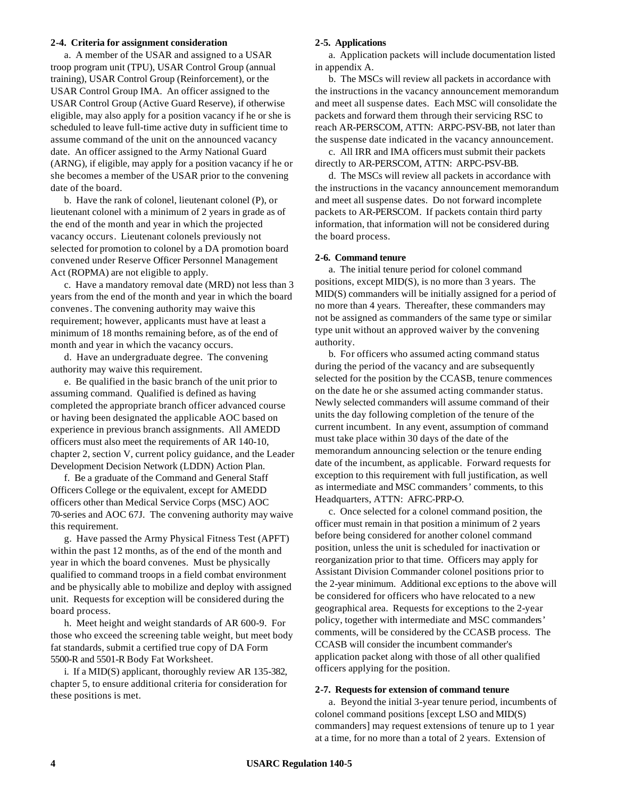#### **2-4. Criteria for assignment consideration**

a. A member of the USAR and assigned to a USAR troop program unit (TPU), USAR Control Group (annual training), USAR Control Group (Reinforcement), or the USAR Control Group IMA. An officer assigned to the USAR Control Group (Active Guard Reserve), if otherwise eligible, may also apply for a position vacancy if he or she is scheduled to leave full-time active duty in sufficient time to assume command of the unit on the announced vacancy date. An officer assigned to the Army National Guard (ARNG), if eligible, may apply for a position vacancy if he or she becomes a member of the USAR prior to the convening date of the board.

b. Have the rank of colonel, lieutenant colonel (P), or lieutenant colonel with a minimum of 2 years in grade as of the end of the month and year in which the projected vacancy occurs. Lieutenant colonels previously not selected for promotion to colonel by a DA promotion board convened under Reserve Officer Personnel Management Act (ROPMA) are not eligible to apply.

c. Have a mandatory removal date (MRD) not less than 3 years from the end of the month and year in which the board convenes. The convening authority may waive this requirement; however, applicants must have at least a minimum of 18 months remaining before, as of the end of month and year in which the vacancy occurs.

d. Have an undergraduate degree. The convening authority may waive this requirement.

e. Be qualified in the basic branch of the unit prior to assuming command. Qualified is defined as having completed the appropriate branch officer advanced course or having been designated the applicable AOC based on experience in previous branch assignments. All AMEDD officers must also meet the requirements of AR 140-10, chapter 2, section V, current policy guidance, and the Leader Development Decision Network (LDDN) Action Plan.

f. Be a graduate of the Command and General Staff Officers College or the equivalent, except for AMEDD officers other than Medical Service Corps (MSC) AOC 70-series and AOC 67J. The convening authority may waive this requirement.

g. Have passed the Army Physical Fitness Test (APFT) within the past 12 months, as of the end of the month and year in which the board convenes. Must be physically qualified to command troops in a field combat environment and be physically able to mobilize and deploy with assigned unit. Requests for exception will be considered during the board process.

h. Meet height and weight standards of AR 600-9. For those who exceed the screening table weight, but meet body fat standards, submit a certified true copy of DA Form 5500-R and 5501-R Body Fat Worksheet.

i. If a MID(S) applicant, thoroughly review AR 135-382, chapter 5, to ensure additional criteria for consideration for these positions is met.

### **2-5. Applications**

a. Application packets will include documentation listed in appendix A.

b. The MSCs will review all packets in accordance with the instructions in the vacancy announcement memorandum and meet all suspense dates. Each MSC will consolidate the packets and forward them through their servicing RSC to reach AR-PERSCOM, ATTN: ARPC-PSV-BB, not later than the suspense date indicated in the vacancy announcement.

c. All IRR and IMA officers must submit their packets directly to AR-PERSCOM, ATTN: ARPC-PSV-BB.

d. The MSCs will review all packets in accordance with the instructions in the vacancy announcement memorandum and meet all suspense dates. Do not forward incomplete packets to AR-PERSCOM. If packets contain third party information, that information will not be considered during the board process.

#### **2-6. Command tenure**

a. The initial tenure period for colonel command positions, except MID(S), is no more than 3 years. The MID(S) commanders will be initially assigned for a period of no more than 4 years. Thereafter, these commanders may not be assigned as commanders of the same type or similar type unit without an approved waiver by the convening authority.

b. For officers who assumed acting command status during the period of the vacancy and are subsequently selected for the position by the CCASB, tenure commences on the date he or she assumed acting commander status. Newly selected commanders will assume command of their units the day following completion of the tenure of the current incumbent. In any event, assumption of command must take place within 30 days of the date of the memorandum announcing selection or the tenure ending date of the incumbent, as applicable. Forward requests for exception to this requirement with full justification, as well as intermediate and MSC commanders' comments, to this Headquarters, ATTN: AFRC-PRP-O.

c. Once selected for a colonel command position, the officer must remain in that position a minimum of 2 years before being considered for another colonel command position, unless the unit is scheduled for inactivation or reorganization prior to that time. Officers may apply for Assistant Division Commander colonel positions prior to the 2-year minimum. Additional exc eptions to the above will be considered for officers who have relocated to a new geographical area. Requests for exceptions to the 2-year policy, together with intermediate and MSC commanders' comments, will be considered by the CCASB process. The CCASB will consider the incumbent commander's application packet along with those of all other qualified officers applying for the position.

#### **2-7. Requests for extension of command tenure**

a. Beyond the initial 3-year tenure period, incumbents of colonel command positions [except LSO and MID(S) commanders] may request extensions of tenure up to 1 year at a time, for no more than a total of 2 years. Extension of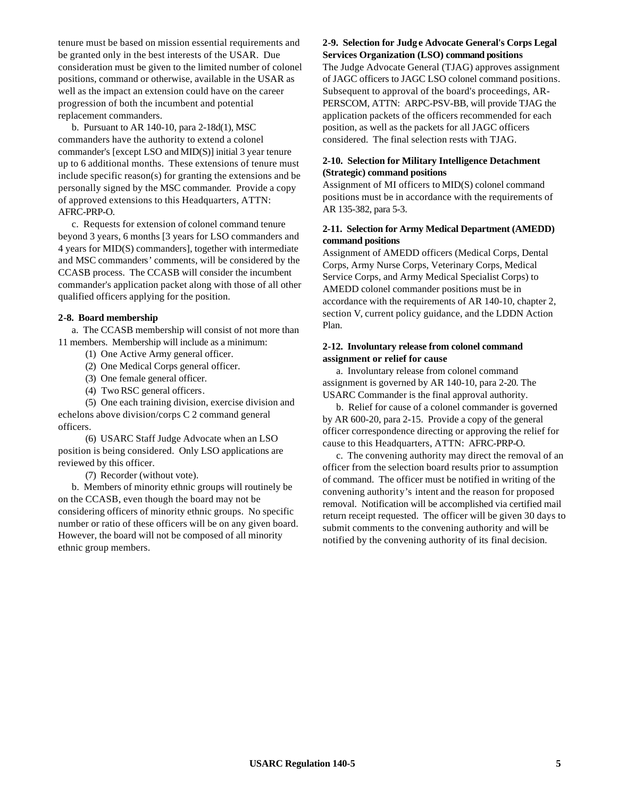tenure must be based on mission essential requirements and be granted only in the best interests of the USAR. Due consideration must be given to the limited number of colonel positions, command or otherwise, available in the USAR as well as the impact an extension could have on the career progression of both the incumbent and potential replacement commanders.

b. Pursuant to AR 140-10, para 2-18d(1), MSC commanders have the authority to extend a colonel commander's [except LSO and MID(S)] initial 3 year tenure up to 6 additional months. These extensions of tenure must include specific reason(s) for granting the extensions and be personally signed by the MSC commander. Provide a copy of approved extensions to this Headquarters, ATTN: AFRC-PRP-O.

c. Requests for extension of colonel command tenure beyond 3 years, 6 months [3 years for LSO commanders and 4 years for MID(S) commanders], together with intermediate and MSC commanders' comments, will be considered by the CCASB process. The CCASB will consider the incumbent commander's application packet along with those of all other qualified officers applying for the position.

### **2-8. Board membership**

a. The CCASB membership will consist of not more than 11 members. Membership will include as a minimum:

- (1) One Active Army general officer.
- (2) One Medical Corps general officer.
- (3) One female general officer.
- (4) Two RSC general officers.

(5) One each training division, exercise division and echelons above division/corps C 2 command general officers.

(6) USARC Staff Judge Advocate when an LSO position is being considered. Only LSO applications are reviewed by this officer.

(7) Recorder (without vote).

b. Members of minority ethnic groups will routinely be on the CCASB, even though the board may not be considering officers of minority ethnic groups. No specific number or ratio of these officers will be on any given board. However, the board will not be composed of all minority ethnic group members.

## **2-9. Selection for Judg e Advocate General's Corps Legal Services Organization (LSO) command positions**

The Judge Advocate General (TJAG) approves assignment of JAGC officers to JAGC LSO colonel command positions. Subsequent to approval of the board's proceedings, AR-PERSCOM, ATTN: ARPC-PSV-BB, will provide TJAG the application packets of the officers recommended for each position, as well as the packets for all JAGC officers considered. The final selection rests with TJAG.

## **2-10. Selection for Military Intelligence Detachment (Strategic) command positions**

Assignment of MI officers to MID(S) colonel command positions must be in accordance with the requirements of AR 135-382, para 5-3.

### **2-11. Selection for Army Medical Department (AMEDD) command positions**

Assignment of AMEDD officers (Medical Corps, Dental Corps, Army Nurse Corps, Veterinary Corps, Medical Service Corps, and Army Medical Specialist Corps) to AMEDD colonel commander positions must be in accordance with the requirements of AR 140-10, chapter 2, section V, current policy guidance, and the LDDN Action Plan.

### **2-12. Involuntary release from colonel command assignment or relief for cause**

a. Involuntary release from colonel command assignment is governed by AR 140-10, para 2-20. The USARC Commander is the final approval authority.

b. Relief for cause of a colonel commander is governed by AR 600-20, para 2-15. Provide a copy of the general officer correspondence directing or approving the relief for cause to this Headquarters, ATTN: AFRC-PRP-O.

c. The convening authority may direct the removal of an officer from the selection board results prior to assumption of command. The officer must be notified in writing of the convening authority's intent and the reason for proposed removal. Notification will be accomplished via certified mail return receipt requested. The officer will be given 30 days to submit comments to the convening authority and will be notified by the convening authority of its final decision.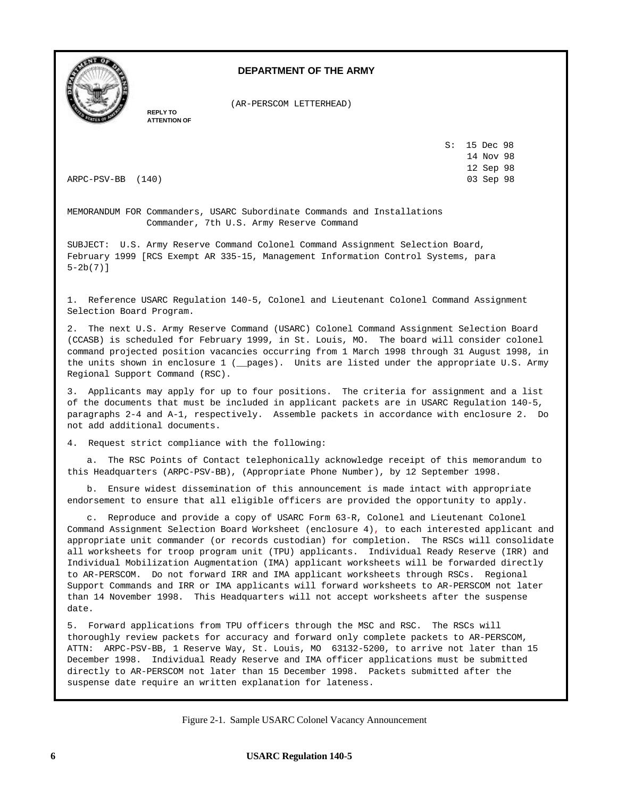

## **DEPARTMENT OF THE ARMY**

(AR-PERSCOM LETTERHEAD)

**REPLY TO ATTENTION OF**

> S: 15 Dec 98 14 Nov 98 12 Sep 98

ARPC-PSV-BB (140) 03 Sep 98

MEMORANDUM FOR Commanders, USARC Subordinate Commands and Installations Commander, 7th U.S. Army Reserve Command

SUBJECT: U.S. Army Reserve Command Colonel Command Assignment Selection Board, February 1999 [RCS Exempt AR 335-15, Management Information Control Systems, para 5-2b(7)]

1. Reference USARC Regulation 140-5, Colonel and Lieutenant Colonel Command Assignment Selection Board Program.

2. The next U.S. Army Reserve Command (USARC) Colonel Command Assignment Selection Board (CCASB) is scheduled for February 1999, in St. Louis, MO. The board will consider colonel command projected position vacancies occurring from 1 March 1998 through 31 August 1998, in the units shown in enclosure 1 (\_\_pages). Units are listed under the appropriate U.S. Army Regional Support Command (RSC).

3. Applicants may apply for up to four positions. The criteria for assignment and a list of the documents that must be included in applicant packets are in USARC Regulation 140-5, paragraphs 2-4 and A-1, respectively. Assemble packets in accordance with enclosure 2. Do not add additional documents.

4. Request strict compliance with the following:

a. The RSC Points of Contact telephonically acknowledge receipt of this memorandum to this Headquarters (ARPC-PSV-BB), (Appropriate Phone Number), by 12 September 1998.

b. Ensure widest dissemination of this announcement is made intact with appropriate endorsement to ensure that all eligible officers are provided the opportunity to apply.

c. Reproduce and provide a copy of USARC Form 63-R, Colonel and Lieutenant Colonel Command Assignment Selection Board Worksheet (enclosure 4), to each interested applicant and appropriate unit commander (or records custodian) for completion. The RSCs will consolidate all worksheets for troop program unit (TPU) applicants. Individual Ready Reserve (IRR) and Individual Mobilization Augmentation (IMA) applicant worksheets will be forwarded directly to AR-PERSCOM. Do not forward IRR and IMA applicant worksheets through RSCs. Regional Support Commands and IRR or IMA applicants will forward worksheets to AR-PERSCOM not later than 14 November 1998. This Headquarters will not accept worksheets after the suspense date.

5. Forward applications from TPU officers through the MSC and RSC. The RSCs will thoroughly review packets for accuracy and forward only complete packets to AR-PERSCOM, ATTN: ARPC-PSV-BB, 1 Reserve Way, St. Louis, MO 63132-5200, to arrive not later than 15 December 1998. Individual Ready Reserve and IMA officer applications must be submitted directly to AR-PERSCOM not later than 15 December 1998. Packets submitted after the suspense date require an written explanation for lateness.

Figure 2-1. Sample USARC Colonel Vacancy Announcement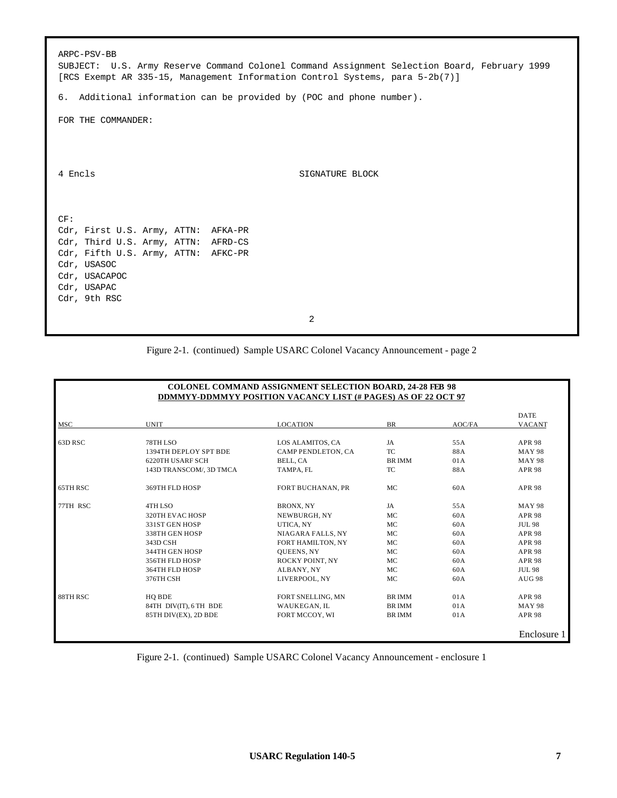| ARPC-PSV-BB<br>SUBJECT: U.S. Army Reserve Command Colonel Command Assignment Selection Board, February 1999<br>[RCS Exempt AR 335-15, Management Information Control Systems, para 5-2b(7)] |                 |  |  |  |
|---------------------------------------------------------------------------------------------------------------------------------------------------------------------------------------------|-----------------|--|--|--|
| 6. Additional information can be provided by (POC and phone number).                                                                                                                        |                 |  |  |  |
| FOR THE COMMANDER:                                                                                                                                                                          |                 |  |  |  |
|                                                                                                                                                                                             |                 |  |  |  |
|                                                                                                                                                                                             |                 |  |  |  |
| 4 Encls                                                                                                                                                                                     | SIGNATURE BLOCK |  |  |  |
|                                                                                                                                                                                             |                 |  |  |  |
| CF:                                                                                                                                                                                         |                 |  |  |  |
| Cdr, First U.S. Army, ATTN: AFKA-PR                                                                                                                                                         |                 |  |  |  |
| Cdr, Third U.S. Army, ATTN: AFRD-CS                                                                                                                                                         |                 |  |  |  |
| Cdr, Fifth U.S. Army, ATTN: AFKC-PR                                                                                                                                                         |                 |  |  |  |
| Cdr, USASOC                                                                                                                                                                                 |                 |  |  |  |
| Cdr, USACAPOC<br>Cdr, USAPAC                                                                                                                                                                |                 |  |  |  |
| Cdr, 9th RSC                                                                                                                                                                                |                 |  |  |  |
|                                                                                                                                                                                             |                 |  |  |  |
|                                                                                                                                                                                             | 2               |  |  |  |

# Figure 2-1. (continued) Sample USARC Colonel Vacancy Announcement - page 2

| <b>COLONEL COMMAND ASSIGNMENT SELECTION BOARD, 24-28 FEB 98</b><br><b>DDMMYY-DDMMYY POSITION VACANCY LIST (# PAGES) AS OF 22 OCT 97</b> |                                                                                                                                               |                                                                                                                                                         |                                                     |                                                             |                                                                                                                                                       |
|-----------------------------------------------------------------------------------------------------------------------------------------|-----------------------------------------------------------------------------------------------------------------------------------------------|---------------------------------------------------------------------------------------------------------------------------------------------------------|-----------------------------------------------------|-------------------------------------------------------------|-------------------------------------------------------------------------------------------------------------------------------------------------------|
| <b>MSC</b>                                                                                                                              | <b>UNIT</b>                                                                                                                                   | <b>LOCATION</b>                                                                                                                                         | <b>BR</b>                                           | AOC/FA                                                      | <b>DATE</b><br><b>VACANT</b>                                                                                                                          |
| 63D RSC                                                                                                                                 | 78TH LSO<br>1394TH DEPLOY SPT BDE<br>6220TH USARF SCH<br>143D TRANSCOM/, 3D TMCA                                                              | LOS ALAMITOS, CA<br>CAMP PENDLETON, CA<br>BELL, CA<br>TAMPA, FL                                                                                         | JA<br>TC.<br><b>BRIMM</b><br>TC                     | 55A<br>88A<br>01A<br>88A                                    | <b>APR 98</b><br><b>MAY 98</b><br><b>MAY 98</b><br><b>APR 98</b>                                                                                      |
| 65TH RSC                                                                                                                                | 369TH FLD HOSP                                                                                                                                | <b>FORT BUCHANAN, PR</b>                                                                                                                                | MC                                                  | 60A                                                         | <b>APR 98</b>                                                                                                                                         |
| 77TH RSC                                                                                                                                | 4TH LSO<br>320TH EVAC HOSP<br>331ST GEN HOSP<br>338TH GEN HOSP<br>343D CSH<br>344TH GEN HOSP<br>356TH FLD HOSP<br>364TH FLD HOSP<br>376TH CSH | BRONX, NY<br>NEWBURGH, NY<br>UTICA, NY<br>NIAGARA FALLS, NY<br>FORT HAMILTON, NY<br><b>OUEENS, NY</b><br>ROCKY POINT, NY<br>ALBANY, NY<br>LIVERPOOL, NY | JA<br>MC<br>MC<br>MC<br>MC<br>MC.<br>MC<br>MC<br>MC | 55A<br>60A<br>60A<br>60A<br>60A<br>60A<br>60A<br>60A<br>60A | <b>MAY 98</b><br><b>APR 98</b><br><b>JUL 98</b><br><b>APR 98</b><br><b>APR 98</b><br><b>APR 98</b><br><b>APR 98</b><br><b>JUL 98</b><br><b>AUG 98</b> |
| 88TH RSC                                                                                                                                | HO BDE<br>84TH DIV(IT), 6 TH BDE<br>85TH DIV(EX), 2D BDE                                                                                      | FORT SNELLING, MN<br>WAUKEGAN, IL<br>FORT MCCOY, WI                                                                                                     | <b>BRIMM</b><br><b>BRIMM</b><br><b>BRIMM</b>        | 01A<br>01A<br>01A                                           | <b>APR 98</b><br><b>MAY 98</b><br><b>APR 98</b><br>Enclosure 1                                                                                        |

Figure 2-1. (continued) Sample USARC Colonel Vacancy Announcement - enclosure 1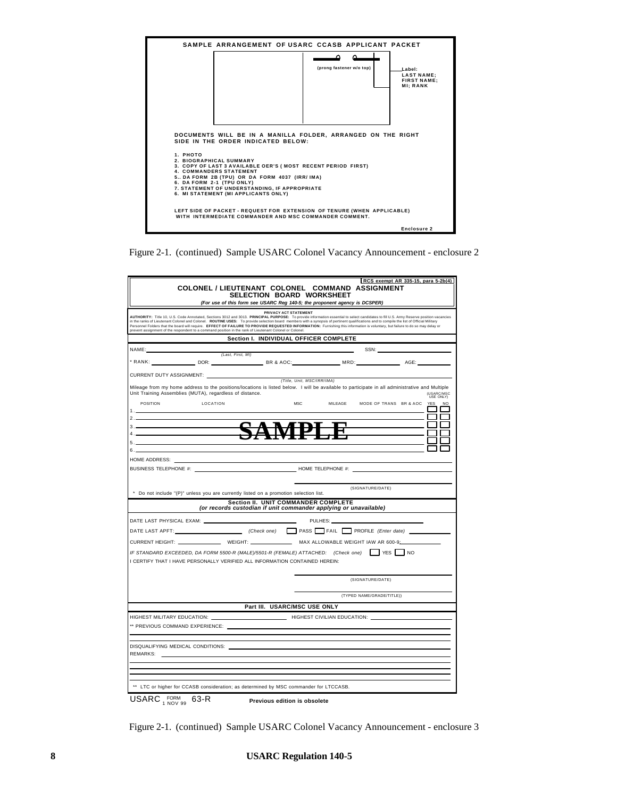

Figure 2-1. (continued) Sample USARC Colonel Vacancy Announcement - enclosure 2

|                                    |                                                                                                                                                                                                                                                                                                                                                                                                                                                                                                                                                                                                                                                                                    |                                        |         |                                    | RCS exempt AR 335-15, para 5-2b(4) |
|------------------------------------|------------------------------------------------------------------------------------------------------------------------------------------------------------------------------------------------------------------------------------------------------------------------------------------------------------------------------------------------------------------------------------------------------------------------------------------------------------------------------------------------------------------------------------------------------------------------------------------------------------------------------------------------------------------------------------|----------------------------------------|---------|------------------------------------|------------------------------------|
|                                    | <b>COLONEL / LIEUTENANT COLONEL COMMAND ASSIGNMENT</b><br>(For use of this form see USARC Reg 140-5; the proponent agency is DCSPER)                                                                                                                                                                                                                                                                                                                                                                                                                                                                                                                                               | SELECTION BOARD WORKSHEET              |         |                                    |                                    |
|                                    | AUTHORITY: Title 10, U.S. Code Annotated, Sections 3012 and 3013. PRINCIPAL PURPOSE: To provide information essential to select candidates to fill U.S. Army Reserve position vacancies<br>in the ranks of Lieutenant Colonel and Colonel. ROUTINE USES: To provide selection board members with a synopsis of pertinent qualifications and to compile the list of Official Military<br>Personnel Folders that the board will require. EFFECT OF FAILURE TO PROVIDE REQUESTED INFORMATION: Furnishing this information is voluntary, but failure to do so may delay or<br>prevent assignment of the respondent to a command position in the rank of Lieutenant Colonel or Colonel. | PRIVACY ACT STATEMENT                  |         |                                    |                                    |
|                                    |                                                                                                                                                                                                                                                                                                                                                                                                                                                                                                                                                                                                                                                                                    | Section I. INDIVIDUAL OFFICER COMPLETE |         |                                    |                                    |
|                                    |                                                                                                                                                                                                                                                                                                                                                                                                                                                                                                                                                                                                                                                                                    |                                        |         | SSN:                               |                                    |
|                                    | (Last, First, MI)                                                                                                                                                                                                                                                                                                                                                                                                                                                                                                                                                                                                                                                                  |                                        |         |                                    |                                    |
|                                    |                                                                                                                                                                                                                                                                                                                                                                                                                                                                                                                                                                                                                                                                                    |                                        |         |                                    |                                    |
|                                    |                                                                                                                                                                                                                                                                                                                                                                                                                                                                                                                                                                                                                                                                                    | (Title, Unit, MSC/IRR/IMA)             |         |                                    |                                    |
|                                    | Mileage from my home address to the positions/locations is listed below. I will be available to participate in all administrative and Multiple<br>Unit Training Assemblies (MUTA), regardless of distance.                                                                                                                                                                                                                                                                                                                                                                                                                                                                         |                                        |         |                                    | (USARC/MSC<br>USE ONLY)            |
| POSITION<br>1.11                   | LOCATION                                                                                                                                                                                                                                                                                                                                                                                                                                                                                                                                                                                                                                                                           | <b>MSC</b>                             |         | MILEAGE MODE OF TRANS BR & AOC YES | NO                                 |
| 2.                                 |                                                                                                                                                                                                                                                                                                                                                                                                                                                                                                                                                                                                                                                                                    |                                        |         |                                    |                                    |
| $3 -$                              |                                                                                                                                                                                                                                                                                                                                                                                                                                                                                                                                                                                                                                                                                    | ╊┹<br>M                                |         |                                    |                                    |
| 4.                                 |                                                                                                                                                                                                                                                                                                                                                                                                                                                                                                                                                                                                                                                                                    |                                        |         |                                    |                                    |
| 5 <sub>1</sub><br>6.               |                                                                                                                                                                                                                                                                                                                                                                                                                                                                                                                                                                                                                                                                                    |                                        |         |                                    |                                    |
|                                    |                                                                                                                                                                                                                                                                                                                                                                                                                                                                                                                                                                                                                                                                                    |                                        |         |                                    |                                    |
| HOME ADDRESS:                      |                                                                                                                                                                                                                                                                                                                                                                                                                                                                                                                                                                                                                                                                                    |                                        |         |                                    |                                    |
| BUSINESS TELEPHONE #: _________    |                                                                                                                                                                                                                                                                                                                                                                                                                                                                                                                                                                                                                                                                                    | HOME TELEPHONE #:                      |         |                                    |                                    |
|                                    |                                                                                                                                                                                                                                                                                                                                                                                                                                                                                                                                                                                                                                                                                    |                                        |         |                                    |                                    |
|                                    | * Do not include "(P)" unless you are currently listed on a promotion selection list.                                                                                                                                                                                                                                                                                                                                                                                                                                                                                                                                                                                              |                                        |         | (SIGNATURE/DATE)                   |                                    |
|                                    | (or records custodian if unit commander applying or unavailable)                                                                                                                                                                                                                                                                                                                                                                                                                                                                                                                                                                                                                   | Section II. UNIT COMMANDER COMPLETE    |         |                                    |                                    |
|                                    |                                                                                                                                                                                                                                                                                                                                                                                                                                                                                                                                                                                                                                                                                    | $\overline{\phantom{0}}$               | PULHES: |                                    |                                    |
|                                    |                                                                                                                                                                                                                                                                                                                                                                                                                                                                                                                                                                                                                                                                                    |                                        |         |                                    |                                    |
|                                    | CURRENT HEIGHT: WEIGHT: WEIGHT: MAX ALLOWABLE WEIGHT IAW AR 600-9                                                                                                                                                                                                                                                                                                                                                                                                                                                                                                                                                                                                                  |                                        |         |                                    |                                    |
|                                    | IF STANDARD EXCEEDED, DA FORM 5500-R (MALE)/5501-R (FEMALE) ATTACHED: (Check one) PES 10                                                                                                                                                                                                                                                                                                                                                                                                                                                                                                                                                                                           |                                        |         |                                    |                                    |
|                                    | I CERTIFY THAT I HAVE PERSONALLY VERIFIED ALL INFORMATION CONTAINED HEREIN:                                                                                                                                                                                                                                                                                                                                                                                                                                                                                                                                                                                                        |                                        |         |                                    |                                    |
|                                    |                                                                                                                                                                                                                                                                                                                                                                                                                                                                                                                                                                                                                                                                                    |                                        |         | (SIGNATURE/DATE)                   |                                    |
|                                    |                                                                                                                                                                                                                                                                                                                                                                                                                                                                                                                                                                                                                                                                                    |                                        |         | (TYPED NAME/GRADE/TITLE))          |                                    |
|                                    |                                                                                                                                                                                                                                                                                                                                                                                                                                                                                                                                                                                                                                                                                    | Part III. USARC/MSC USE ONLY           |         |                                    |                                    |
| HIGHEST MILITARY EDUCATION: ______ |                                                                                                                                                                                                                                                                                                                                                                                                                                                                                                                                                                                                                                                                                    | HIGHEST CIVILIAN EDUCATION:            |         |                                    |                                    |
|                                    | ** PREVIOUS COMMAND EXPERIENCE: ____                                                                                                                                                                                                                                                                                                                                                                                                                                                                                                                                                                                                                                               |                                        |         |                                    |                                    |
|                                    |                                                                                                                                                                                                                                                                                                                                                                                                                                                                                                                                                                                                                                                                                    |                                        |         |                                    |                                    |
|                                    |                                                                                                                                                                                                                                                                                                                                                                                                                                                                                                                                                                                                                                                                                    |                                        |         |                                    |                                    |
| REMARKS:                           | DISQUALIFYING MEDICAL CONDITIONS:                                                                                                                                                                                                                                                                                                                                                                                                                                                                                                                                                                                                                                                  |                                        |         |                                    |                                    |
|                                    |                                                                                                                                                                                                                                                                                                                                                                                                                                                                                                                                                                                                                                                                                    |                                        |         |                                    |                                    |
|                                    |                                                                                                                                                                                                                                                                                                                                                                                                                                                                                                                                                                                                                                                                                    |                                        |         |                                    |                                    |
|                                    |                                                                                                                                                                                                                                                                                                                                                                                                                                                                                                                                                                                                                                                                                    |                                        |         |                                    |                                    |
|                                    | ** LTC or higher for CCASB consideration; as determined by MSC commander for LTCCASB.                                                                                                                                                                                                                                                                                                                                                                                                                                                                                                                                                                                              |                                        |         |                                    |                                    |
|                                    |                                                                                                                                                                                                                                                                                                                                                                                                                                                                                                                                                                                                                                                                                    |                                        |         |                                    |                                    |

 $\mathsf{USARC}_{\tt 1\,NOV\,99}^{\sf FORM}\,$  63-R **Previous edition is obsolete**

Figure 2-1. (continued) Sample USARC Colonel Vacancy Announcement - enclosure 3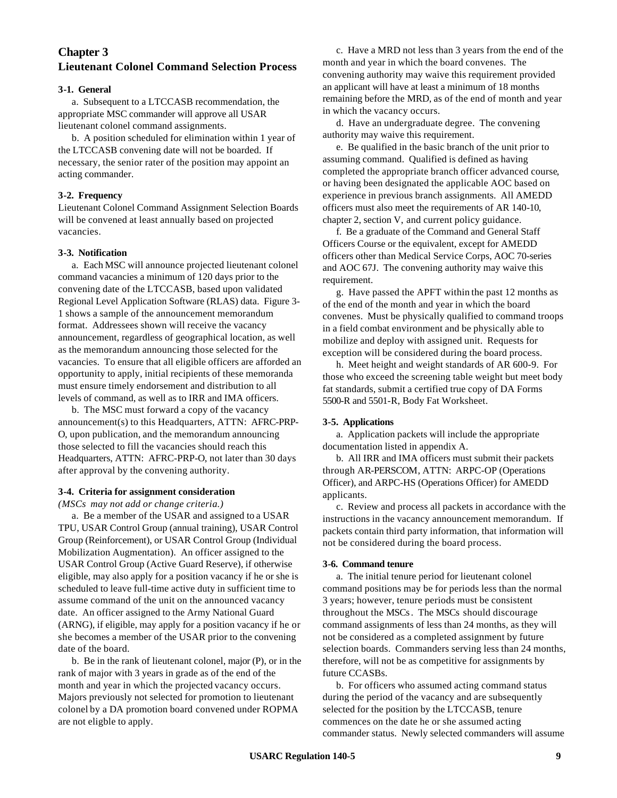## **Chapter 3 Lieutenant Colonel Command Selection Process**

## **3-1. General**

a. Subsequent to a LTCCASB recommendation, the appropriate MSC commander will approve all USAR lieutenant colonel command assignments.

b. A position scheduled for elimination within 1 year of the LTCCASB convening date will not be boarded. If necessary, the senior rater of the position may appoint an acting commander.

## **3-2. Frequency**

Lieutenant Colonel Command Assignment Selection Boards will be convened at least annually based on projected vacancies.

### **3-3. Notification**

a. Each MSC will announce projected lieutenant colonel command vacancies a minimum of 120 days prior to the convening date of the LTCCASB, based upon validated Regional Level Application Software (RLAS) data. Figure 3- 1 shows a sample of the announcement memorandum format. Addressees shown will receive the vacancy announcement, regardless of geographical location, as well as the memorandum announcing those selected for the vacancies. To ensure that all eligible officers are afforded an opportunity to apply, initial recipients of these memoranda must ensure timely endorsement and distribution to all levels of command, as well as to IRR and IMA officers.

b. The MSC must forward a copy of the vacancy announcement(s) to this Headquarters, ATTN: AFRC-PRP-O, upon publication, and the memorandum announcing those selected to fill the vacancies should reach this Headquarters, ATTN: AFRC-PRP-O, not later than 30 days after approval by the convening authority.

## **3-4. Criteria for assignment consideration**

*(MSCs may not add or change criteria.)*

a. Be a member of the USAR and assigned to a USAR TPU, USAR Control Group (annual training), USAR Control Group (Reinforcement), or USAR Control Group (Individual Mobilization Augmentation). An officer assigned to the USAR Control Group (Active Guard Reserve), if otherwise eligible, may also apply for a position vacancy if he or she is scheduled to leave full-time active duty in sufficient time to assume command of the unit on the announced vacancy date. An officer assigned to the Army National Guard (ARNG), if eligible, may apply for a position vacancy if he or she becomes a member of the USAR prior to the convening date of the board.

b. Be in the rank of lieutenant colonel, major (P), or in the rank of major with 3 years in grade as of the end of the month and year in which the projected vacancy occurs. Majors previously not selected for promotion to lieutenant colonel by a DA promotion board convened under ROPMA are not eligble to apply.

c. Have a MRD not less than 3 years from the end of the month and year in which the board convenes. The convening authority may waive this requirement provided an applicant will have at least a minimum of 18 months remaining before the MRD, as of the end of month and year in which the vacancy occurs.

d. Have an undergraduate degree. The convening authority may waive this requirement.

e. Be qualified in the basic branch of the unit prior to assuming command. Qualified is defined as having completed the appropriate branch officer advanced course, or having been designated the applicable AOC based on experience in previous branch assignments. All AMEDD officers must also meet the requirements of AR 140-10, chapter 2, section V, and current policy guidance.

f. Be a graduate of the Command and General Staff Officers Course or the equivalent, except for AMEDD officers other than Medical Service Corps, AOC 70-series and AOC 67J. The convening authority may waive this requirement.

g. Have passed the APFT within the past 12 months as of the end of the month and year in which the board convenes. Must be physically qualified to command troops in a field combat environment and be physically able to mobilize and deploy with assigned unit. Requests for exception will be considered during the board process.

h. Meet height and weight standards of AR 600-9. For those who exceed the screening table weight but meet body fat standards, submit a certified true copy of DA Forms 5500-R and 5501-R, Body Fat Worksheet.

## **3-5. Applications**

a. Application packets will include the appropriate documentation listed in appendix A.

b. All IRR and IMA officers must submit their packets through AR-PERSCOM, ATTN: ARPC-OP (Operations Officer), and ARPC-HS (Operations Officer) for AMEDD applicants.

c. Review and process all packets in accordance with the instructions in the vacancy announcement memorandum. If packets contain third party information, that information will not be considered during the board process.

## **3-6. Command tenure**

a. The initial tenure period for lieutenant colonel command positions may be for periods less than the normal 3 years; however, tenure periods must be consistent throughout the MSCs. The MSCs should discourage command assignments of less than 24 months, as they will not be considered as a completed assignment by future selection boards. Commanders serving less than 24 months, therefore, will not be as competitive for assignments by future CCASBs.

b. For officers who assumed acting command status during the period of the vacancy and are subsequently selected for the position by the LTCCASB, tenure commences on the date he or she assumed acting commander status. Newly selected commanders will assume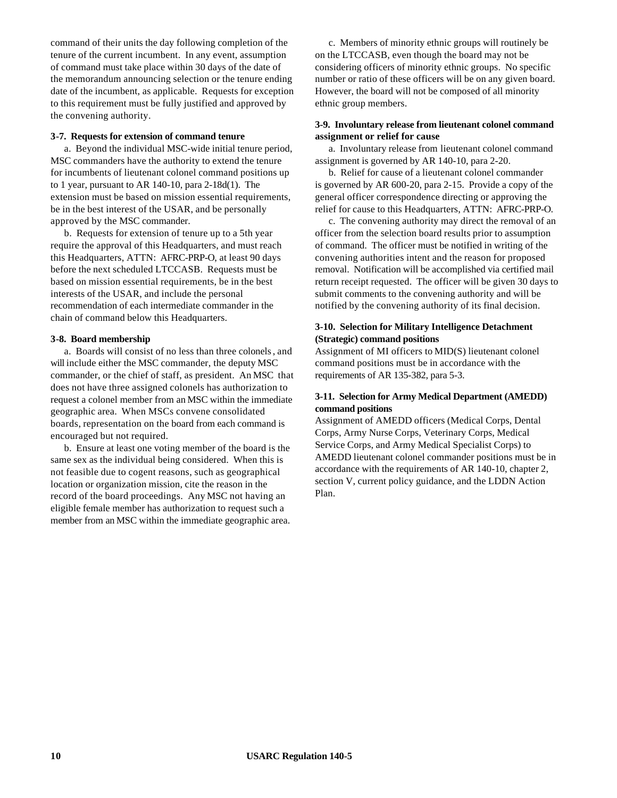command of their units the day following completion of the tenure of the current incumbent. In any event, assumption of command must take place within 30 days of the date of the memorandum announcing selection or the tenure ending date of the incumbent, as applicable. Requests for exception to this requirement must be fully justified and approved by the convening authority.

### **3-7. Requests for extension of command tenure**

a. Beyond the individual MSC-wide initial tenure period, MSC commanders have the authority to extend the tenure for incumbents of lieutenant colonel command positions up to 1 year, pursuant to AR 140-10, para 2-18d(1). The extension must be based on mission essential requirements, be in the best interest of the USAR, and be personally approved by the MSC commander.

b. Requests for extension of tenure up to a 5th year require the approval of this Headquarters, and must reach this Headquarters, ATTN: AFRC-PRP-O, at least 90 days before the next scheduled LTCCASB. Requests must be based on mission essential requirements, be in the best interests of the USAR, and include the personal recommendation of each intermediate commander in the chain of command below this Headquarters.

### **3-8. Board membership**

a. Boards will consist of no less than three colonels, and will include either the MSC commander, the deputy MSC commander, or the chief of staff, as president. An MSC that does not have three assigned colonels has authorization to request a colonel member from an MSC within the immediate geographic area. When MSCs convene consolidated boards, representation on the board from each command is encouraged but not required.

b. Ensure at least one voting member of the board is the same sex as the individual being considered. When this is not feasible due to cogent reasons, such as geographical location or organization mission, cite the reason in the record of the board proceedings. Any MSC not having an eligible female member has authorization to request such a member from an MSC within the immediate geographic area.

c. Members of minority ethnic groups will routinely be on the LTCCASB, even though the board may not be considering officers of minority ethnic groups. No specific number or ratio of these officers will be on any given board. However, the board will not be composed of all minority ethnic group members.

### **3-9. Involuntary release from lieutenant colonel command assignment or relief for cause**

a. Involuntary release from lieutenant colonel command assignment is governed by AR 140-10, para 2-20.

b. Relief for cause of a lieutenant colonel commander is governed by AR 600-20, para 2-15. Provide a copy of the general officer correspondence directing or approving the relief for cause to this Headquarters, ATTN: AFRC-PRP-O.

c. The convening authority may direct the removal of an officer from the selection board results prior to assumption of command. The officer must be notified in writing of the convening authorities intent and the reason for proposed removal. Notification will be accomplished via certified mail return receipt requested. The officer will be given 30 days to submit comments to the convening authority and will be notified by the convening authority of its final decision.

## **3-10. Selection for Military Intelligence Detachment (Strategic) command positions**

Assignment of MI officers to MID(S) lieutenant colonel command positions must be in accordance with the requirements of AR 135-382, para 5-3.

## **3-11. Selection for Army Medical Department (AMEDD) command positions**

Assignment of AMEDD officers (Medical Corps, Dental Corps, Army Nurse Corps, Veterinary Corps, Medical Service Corps, and Army Medical Specialist Corps) to AMEDD lieutenant colonel commander positions must be in accordance with the requirements of AR 140-10, chapter 2, section V, current policy guidance, and the LDDN Action Plan.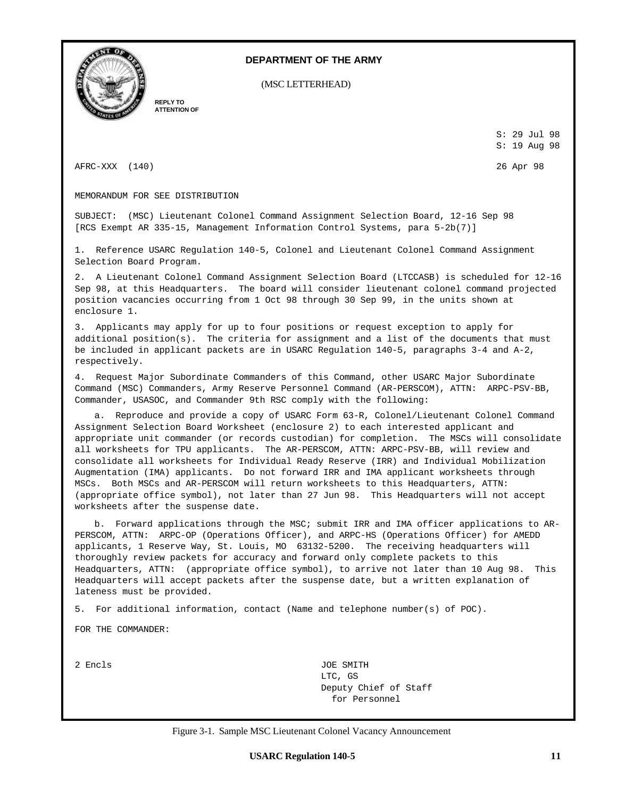

### **DEPARTMENT OF THE ARMY**

(MSC LETTERHEAD)

**REPLY TO ATTENTION OF**

> S: 29 Jul 98 S: 19 Aug 98

AFRC-XXX (140) 26 Apr 98

MEMORANDUM FOR SEE DISTRIBUTION

SUBJECT: (MSC) Lieutenant Colonel Command Assignment Selection Board, 12-16 Sep 98 [RCS Exempt AR 335-15, Management Information Control Systems, para 5-2b(7)]

1. Reference USARC Regulation 140-5, Colonel and Lieutenant Colonel Command Assignment Selection Board Program.

2. A Lieutenant Colonel Command Assignment Selection Board (LTCCASB) is scheduled for 12-16 Sep 98, at this Headquarters. The board will consider lieutenant colonel command projected position vacancies occurring from 1 Oct 98 through 30 Sep 99, in the units shown at enclosure 1.

3. Applicants may apply for up to four positions or request exception to apply for additional position(s). The criteria for assignment and a list of the documents that must be included in applicant packets are in USARC Regulation 140-5, paragraphs 3-4 and A-2, respectively.

4. Request Major Subordinate Commanders of this Command, other USARC Major Subordinate Command (MSC) Commanders, Army Reserve Personnel Command (AR-PERSCOM), ATTN: ARPC-PSV-BB, Commander, USASOC, and Commander 9th RSC comply with the following:

a. Reproduce and provide a copy of USARC Form 63-R, Colonel/Lieutenant Colonel Command Assignment Selection Board Worksheet (enclosure 2) to each interested applicant and appropriate unit commander (or records custodian) for completion. The MSCs will consolidate all worksheets for TPU applicants. The AR-PERSCOM, ATTN: ARPC-PSV-BB, will review and consolidate all worksheets for Individual Ready Reserve (IRR) and Individual Mobilization Augmentation (IMA) applicants. Do not forward IRR and IMA applicant worksheets through MSCs. Both MSCs and AR-PERSCOM will return worksheets to this Headquarters, ATTN: (appropriate office symbol), not later than 27 Jun 98. This Headquarters will not accept worksheets after the suspense date.

b. Forward applications through the MSC; submit IRR and IMA officer applications to AR-PERSCOM, ATTN: ARPC-OP (Operations Officer), and ARPC-HS (Operations Officer) for AMEDD applicants, 1 Reserve Way, St. Louis, MO 63132-5200. The receiving headquarters will thoroughly review packets for accuracy and forward only complete packets to this Headquarters, ATTN: (appropriate office symbol), to arrive not later than 10 Aug 98. This Headquarters will accept packets after the suspense date, but a written explanation of lateness must be provided.

5. For additional information, contact (Name and telephone number(s) of POC).

FOR THE COMMANDER:

2 Encls JOE SMITH LTC, GS Deputy Chief of Staff for Personnel

Figure 3-1. Sample MSC Lieutenant Colonel Vacancy Announcement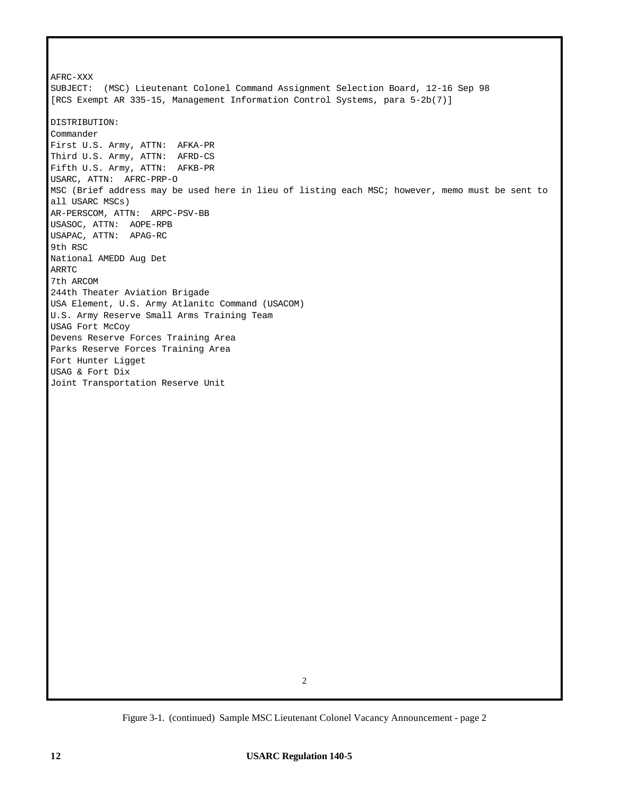AFRC-XXX SUBJECT: (MSC) Lieutenant Colonel Command Assignment Selection Board, 12-16 Sep 98 [RCS Exempt AR 335-15, Management Information Control Systems, para 5-2b(7)] DISTRIBUTION: Commander First U.S. Army, ATTN: AFKA-PR Third U.S. Army, ATTN: AFRD-CS Fifth U.S. Army, ATTN: AFKB-PR USARC, ATTN: AFRC-PRP-O MSC (Brief address may be used here in lieu of listing each MSC; however, memo must be sent to all USARC MSCs) AR-PERSCOM, ATTN: ARPC-PSV-BB USASOC, ATTN: AOPE-RPB USAPAC, ATTN: APAG-RC 9th RSC National AMEDD Aug Det ARRTC 7th ARCOM 244th Theater Aviation Brigade USA Element, U.S. Army Atlanitc Command (USACOM) U.S. Army Reserve Small Arms Training Team USAG Fort McCoy Devens Reserve Forces Training Area Parks Reserve Forces Training Area Fort Hunter Ligget USAG & Fort Dix Joint Transportation Reserve Unit

Figure 3-1. (continued) Sample MSC Lieutenant Colonel Vacancy Announcement - page 2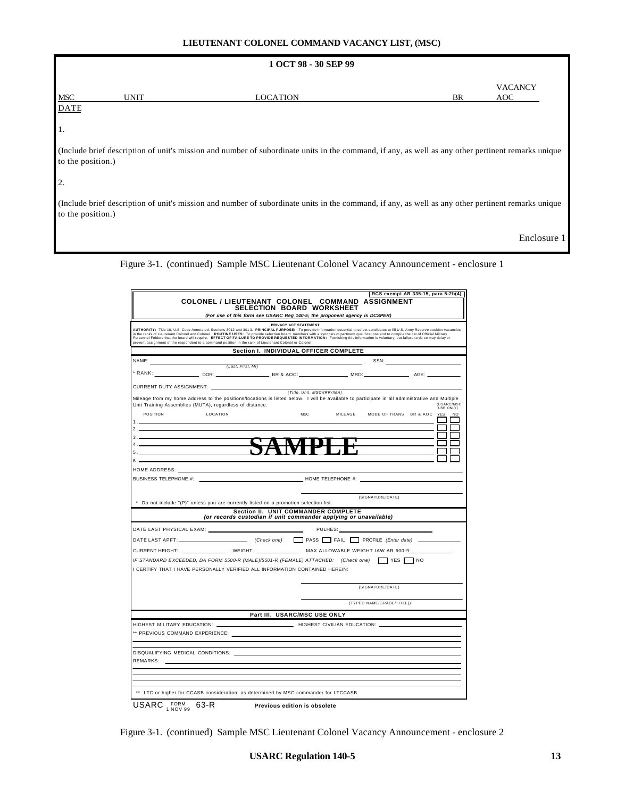### **LIEUTENANT COLONEL COMMAND VACANCY LIST, (MSC)**

|                           |             | 1 OCT 98 - 30 SEP 99                                                                                                                               |    |                       |
|---------------------------|-------------|----------------------------------------------------------------------------------------------------------------------------------------------------|----|-----------------------|
| <b>MSC</b><br><b>DATE</b> | <b>UNIT</b> | <b>LOCATION</b>                                                                                                                                    | BR | <b>VACANCY</b><br>AOC |
| 1.                        |             |                                                                                                                                                    |    |                       |
| to the position.)         |             | (Include brief description of unit's mission and number of subordinate units in the command, if any, as well as any other pertinent remarks unique |    |                       |
| 2.                        |             |                                                                                                                                                    |    |                       |
| to the position.)         |             | (Include brief description of unit's mission and number of subordinate units in the command, if any, as well as any other pertinent remarks unique |    |                       |
|                           |             |                                                                                                                                                    |    | Enclosure 1           |

Figure 3-1. (continued) Sample MSC Lieutenant Colonel Vacancy Announcement - enclosure 1

|                               |                                                                                                          | RCS exempt AR 335-15, para 5-2b(4)                                                                                                                                                                                                |
|-------------------------------|----------------------------------------------------------------------------------------------------------|-----------------------------------------------------------------------------------------------------------------------------------------------------------------------------------------------------------------------------------|
|                               |                                                                                                          | COLONEL / LIEUTENANT COLONEL COMMAND ASSIGNMENT<br><b>SELECTION BOARD WORKSHEET</b>                                                                                                                                               |
|                               |                                                                                                          | (For use of this form see USARC Reg 140-5; the proponent agency is DCSPER)                                                                                                                                                        |
|                               |                                                                                                          | PRIVACY ACT STATEMENT<br>AUTHORITY: Title 10, U.S. Code Annotated, Sections 3012 and 3013. PRINCIPAL PURPOSE: To provide information essential to select candidates to fill U.S. Army Reserve position vacancies                  |
|                               | prevent assignment of the respondent to a command position in the rank of Lieutenant Colonel or Colonel. | In the ranks of Lieutenant Colonel and Colonel. ROUTINE USES: To provide selection board members with a synopsis of pertinent qualifications and to compile the list of Official Military<br>Personnel Folders that the board wil |
|                               |                                                                                                          | Section I. INDIVIDUAL OFFICER COMPLETE                                                                                                                                                                                            |
| NAME:                         | (Last, First, MI)                                                                                        | SSN: Andrew SSN:                                                                                                                                                                                                                  |
|                               |                                                                                                          |                                                                                                                                                                                                                                   |
|                               |                                                                                                          |                                                                                                                                                                                                                                   |
|                               | CURRENT DUTY ASSIGNMENT:                                                                                 | (Title, Unit, MSC/IRR/IMA)                                                                                                                                                                                                        |
|                               | Unit Training Assemblies (MUTA), regardless of distance.                                                 | Mileage from my home address to the positions/locations is listed below. I will be available to participate in all administrative and Multiple<br>(USARC/MSC                                                                      |
| POSITION                      | LOCATION                                                                                                 | USE ONLY)<br><b>MSC</b><br>MILEAGE MODE OF TRANS BR & AOC YES<br><b>NO</b>                                                                                                                                                        |
|                               |                                                                                                          | <b>Contract</b>                                                                                                                                                                                                                   |
| $3.$ $\overline{\phantom{a}}$ |                                                                                                          |                                                                                                                                                                                                                                   |
| 4.1                           |                                                                                                          |                                                                                                                                                                                                                                   |
| 5.                            |                                                                                                          |                                                                                                                                                                                                                                   |
| 6.                            |                                                                                                          |                                                                                                                                                                                                                                   |
|                               |                                                                                                          |                                                                                                                                                                                                                                   |
|                               |                                                                                                          |                                                                                                                                                                                                                                   |
|                               |                                                                                                          |                                                                                                                                                                                                                                   |
|                               | * Do not include "(P)" unless you are currently listed on a promotion selection list.                    | (SIGNATURE/DATE)                                                                                                                                                                                                                  |
|                               |                                                                                                          | Section II. UNIT COMMANDER COMPLETE                                                                                                                                                                                               |
|                               |                                                                                                          | (or records custodian if unit commander applying or unavailable)                                                                                                                                                                  |
|                               |                                                                                                          | PULHES: North Contract Contract Contract Contract Contract Contract Contract Contract Contract Contract Contract Contract Contract Contract Contract Contract Contract Contract Contract Contract Contract Contract Contract C    |
|                               |                                                                                                          |                                                                                                                                                                                                                                   |
|                               |                                                                                                          |                                                                                                                                                                                                                                   |
|                               |                                                                                                          | IF STANDARD EXCEEDED, DA FORM 5500-R (MALE)/5501-R (FEMALE) ATTACHED: (Check one) VES NO                                                                                                                                          |
|                               | I CERTIFY THAT I HAVE PERSONALLY VERIFIED ALL INFORMATION CONTAINED HEREIN:                              |                                                                                                                                                                                                                                   |
|                               |                                                                                                          | (SIGNATURE/DATE)                                                                                                                                                                                                                  |
|                               |                                                                                                          |                                                                                                                                                                                                                                   |
|                               |                                                                                                          | (TYPED NAME/GRADE/TITLE))                                                                                                                                                                                                         |
|                               |                                                                                                          | Part III. USARC/MSC USE ONLY                                                                                                                                                                                                      |
|                               |                                                                                                          | HIGHEST MILITARY EDUCATION: ________________________________HIGHEST CIVILIAN EDUCATION: ___________                                                                                                                               |
|                               | ** PREVIOUS COMMAND EXPERIENCE:                                                                          |                                                                                                                                                                                                                                   |
|                               |                                                                                                          |                                                                                                                                                                                                                                   |
|                               | DISQUALIFYING MEDICAL CONDITIONS:                                                                        |                                                                                                                                                                                                                                   |
| REMARKS:                      |                                                                                                          |                                                                                                                                                                                                                                   |
|                               |                                                                                                          |                                                                                                                                                                                                                                   |
|                               |                                                                                                          |                                                                                                                                                                                                                                   |
|                               |                                                                                                          |                                                                                                                                                                                                                                   |
|                               | ** LTC or higher for CCASB consideration; as determined by MSC commander for LTCCASB.                    |                                                                                                                                                                                                                                   |

Figure 3-1. (continued) Sample MSC Lieutenant Colonel Vacancy Announcement - enclosure 2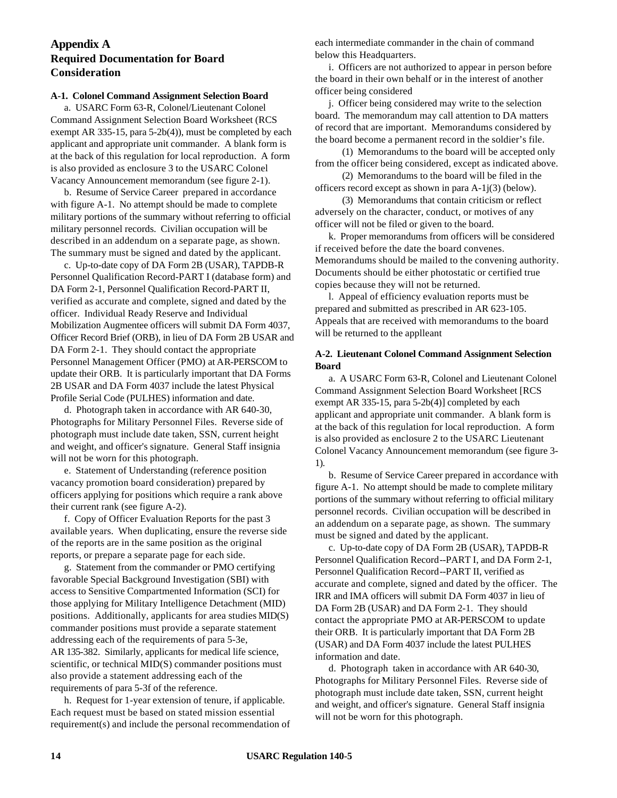## **Appendix A Required Documentation for Board Consideration**

### **A-1. Colonel Command Assignment Selection Board**

a. USARC Form 63-R, Colonel/Lieutenant Colonel Command Assignment Selection Board Worksheet (RCS exempt AR 335-15, para 5-2b(4)), must be completed by each applicant and appropriate unit commander. A blank form is at the back of this regulation for local reproduction. A form is also provided as enclosure 3 to the USARC Colonel Vacancy Announcement memorandum (see figure 2-1).

b. Resume of Service Career prepared in accordance with figure A-1. No attempt should be made to complete military portions of the summary without referring to official military personnel records. Civilian occupation will be described in an addendum on a separate page, as shown. The summary must be signed and dated by the applicant.

c. Up-to-date copy of DA Form 2B (USAR), TAPDB-R Personnel Qualification Record-PART I (database form) and DA Form 2-1, Personnel Qualification Record-PART II, verified as accurate and complete, signed and dated by the officer. Individual Ready Reserve and Individual Mobilization Augmentee officers will submit DA Form 4037, Officer Record Brief (ORB), in lieu of DA Form 2B USAR and DA Form 2-1. They should contact the appropriate Personnel Management Officer (PMO) at AR-PERSCOM to update their ORB. It is particularly important that DA Forms 2B USAR and DA Form 4037 include the latest Physical Profile Serial Code (PULHES) information and date.

d. Photograph taken in accordance with AR 640-30, Photographs for Military Personnel Files. Reverse side of photograph must include date taken, SSN, current height and weight, and officer's signature. General Staff insignia will not be worn for this photograph.

e. Statement of Understanding (reference position vacancy promotion board consideration) prepared by officers applying for positions which require a rank above their current rank (see figure A-2).

f. Copy of Officer Evaluation Reports for the past 3 available years. When duplicating, ensure the reverse side of the reports are in the same position as the original reports, or prepare a separate page for each side.

g. Statement from the commander or PMO certifying favorable Special Background Investigation (SBI) with access to Sensitive Compartmented Information (SCI) for those applying for Military Intelligence Detachment (MID) positions. Additionally, applicants for area studies MID(S) commander positions must provide a separate statement addressing each of the requirements of para 5-3e, AR 135-382. Similarly, applicants for medical life science, scientific, or technical MID(S) commander positions must also provide a statement addressing each of the requirements of para 5-3f of the reference.

h. Request for 1-year extension of tenure, if applicable. Each request must be based on stated mission essential requirement(s) and include the personal recommendation of each intermediate commander in the chain of command below this Headquarters.

i. Officers are not authorized to appear in person before the board in their own behalf or in the interest of another officer being considered

j. Officer being considered may write to the selection board. The memorandum may call attention to DA matters of record that are important. Memorandums considered by the board become a permanent record in the soldier's file.

(1) Memorandums to the board will be accepted only from the officer being considered, except as indicated above.

(2) Memorandums to the board will be filed in the officers record except as shown in para A-1j(3) (below).

(3) Memorandums that contain criticism or reflect adversely on the character, conduct, or motives of any officer will not be filed or given to the board.

k. Proper memorandums from officers will be considered if received before the date the board convenes. Memorandums should be mailed to the convening authority. Documents should be either photostatic or certified true copies because they will not be returned.

l. Appeal of efficiency evaluation reports must be prepared and submitted as prescribed in AR 623-105. Appeals that are received with memorandums to the board will be returned to the applleant

## **A-2. Lieutenant Colonel Command Assignment Selection Board**

a. A USARC Form 63-R, Colonel and Lieutenant Colonel Command Assignment Selection Board Worksheet [RCS exempt AR 335-15, para 5-2b(4)] completed by each applicant and appropriate unit commander. A blank form is at the back of this regulation for local reproduction. A form is also provided as enclosure 2 to the USARC Lieutenant Colonel Vacancy Announcement memorandum (see figure 3- 1).

b. Resume of Service Career prepared in accordance with figure A-1. No attempt should be made to complete military portions of the summary without referring to official military personnel records. Civilian occupation will be described in an addendum on a separate page, as shown. The summary must be signed and dated by the applicant.

c. Up-to-date copy of DA Form 2B (USAR), TAPDB-R Personnel Qualification Record--PART I, and DA Form 2-1, Personnel Qualification Record--PART II, verified as accurate and complete, signed and dated by the officer. The IRR and IMA officers will submit DA Form 4037 in lieu of DA Form 2B (USAR) and DA Form 2-1. They should contact the appropriate PMO at AR-PERSCOM to update their ORB. It is particularly important that DA Form 2B (USAR) and DA Form 4037 include the latest PULHES information and date.

d. Photograph taken in accordance with AR 640-30, Photographs for Military Personnel Files. Reverse side of photograph must include date taken, SSN, current height and weight, and officer's signature. General Staff insignia will not be worn for this photograph.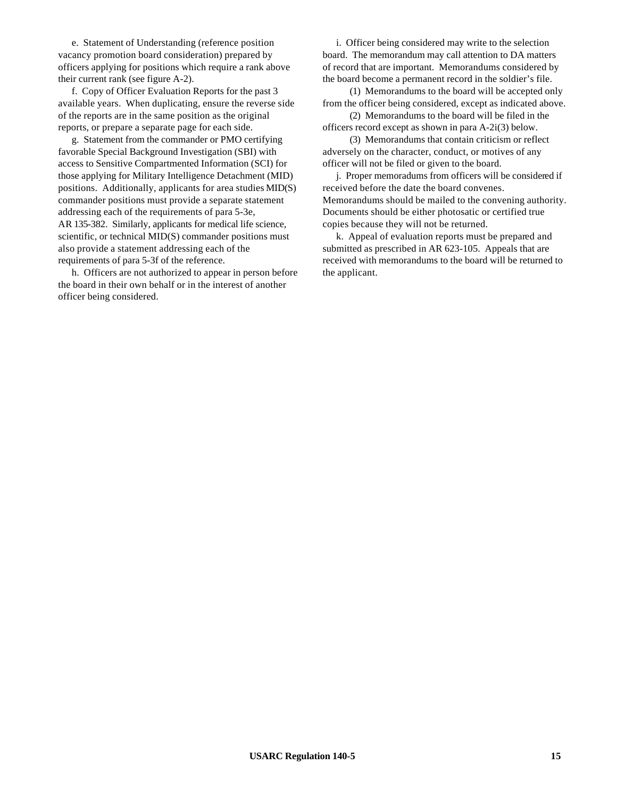e. Statement of Understanding (reference position vacancy promotion board consideration) prepared by officers applying for positions which require a rank above their current rank (see figure A-2).

f. Copy of Officer Evaluation Reports for the past 3 available years. When duplicating, ensure the reverse side of the reports are in the same position as the original reports, or prepare a separate page for each side.

g. Statement from the commander or PMO certifying favorable Special Background Investigation (SBI) with access to Sensitive Compartmented Information (SCI) for those applying for Military Intelligence Detachment (MID) positions. Additionally, applicants for area studies MID(S) commander positions must provide a separate statement addressing each of the requirements of para 5-3e, AR 135-382. Similarly, applicants for medical life science, scientific, or technical MID(S) commander positions must also provide a statement addressing each of the requirements of para 5-3f of the reference.

h. Officers are not authorized to appear in person before the board in their own behalf or in the interest of another officer being considered.

i. Officer being considered may write to the selection board. The memorandum may call attention to DA matters of record that are important. Memorandums considered by the board become a permanent record in the soldier's file.

(1) Memorandums to the board will be accepted only from the officer being considered, except as indicated above.

(2) Memorandums to the board will be filed in the officers record except as shown in para A-2i(3) below.

(3) Memorandums that contain criticism or reflect adversely on the character, conduct, or motives of any officer will not be filed or given to the board.

j. Proper memoradums from officers will be considered if received before the date the board convenes. Memorandums should be mailed to the convening authority. Documents should be either photosatic or certified true copies because they will not be returned.

k. Appeal of evaluation reports must be prepared and submitted as prescribed in AR 623-105. Appeals that are received with memorandums to the board will be returned to the applicant.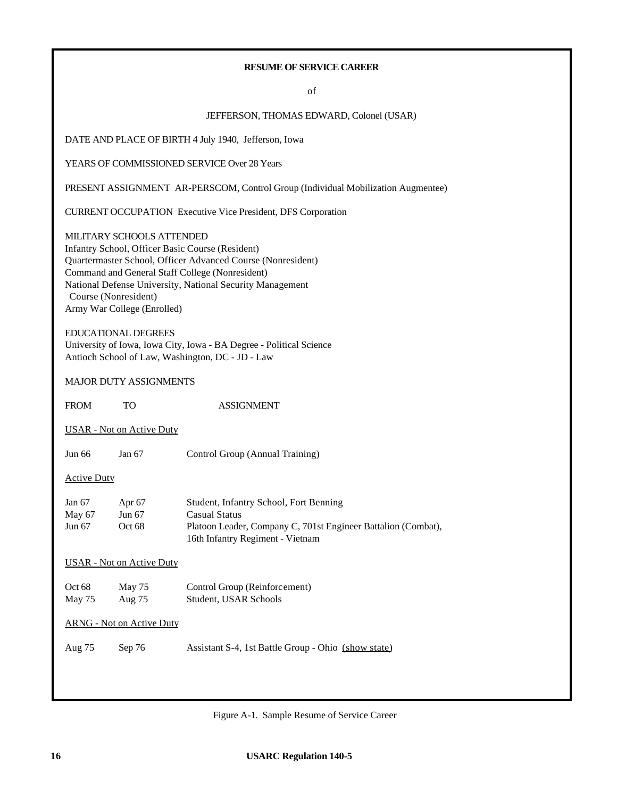## **RESUME OF SERVICE CAREER**

of

### JEFFERSON, THOMAS EDWARD, Colonel (USAR)

DATE AND PLACE OF BIRTH 4 July 1940, Jefferson, Iowa

YEARS OF COMMISSIONED SERVICE Over 28 Years

PRESENT ASSIGNMENT AR-PERSCOM, Control Group (Individual Mobilization Augmentee)

CURRENT OCCUPATION Executive Vice President, DFS Corporation

MILITARY SCHOOLS ATTENDED Infantry School, Officer Basic Course (Resident) Quartermaster School, Officer Advanced Course (Nonresident) Command and General Staff College (Nonresident) National Defense University, National Security Management Course (Nonresident) Army War College (Enrolled)

EDUCATIONAL DEGREES

University of Iowa, Iowa City, Iowa - BA Degree - Political Science Antioch School of Law, Washington, DC - JD - Law

### MAJOR DUTY ASSIGNMENTS

FROM TO ASSIGNMENT USAR - Not on Active Duty Jun 66 Jan 67 Control Group (Annual Training) Active Duty Jan 67 Apr 67 Student, Infantry School, Fort Benning May 67 Jun 67 Casual Status Jun 67 Oct 68 Platoon Leader, Company C, 701st Engineer Battalion (Combat), 16th Infantry Regiment - Vietnam USAR - Not on Active Duty Oct 68 May 75 Control Group (Reinforcement) May 75 Aug 75 Student, USAR Schools ARNG - Not on Active Duty

Aug 75 Sep 76 Assistant S-4, 1st Battle Group - Ohio (show state)

Figure A-1. Sample Resume of Service Career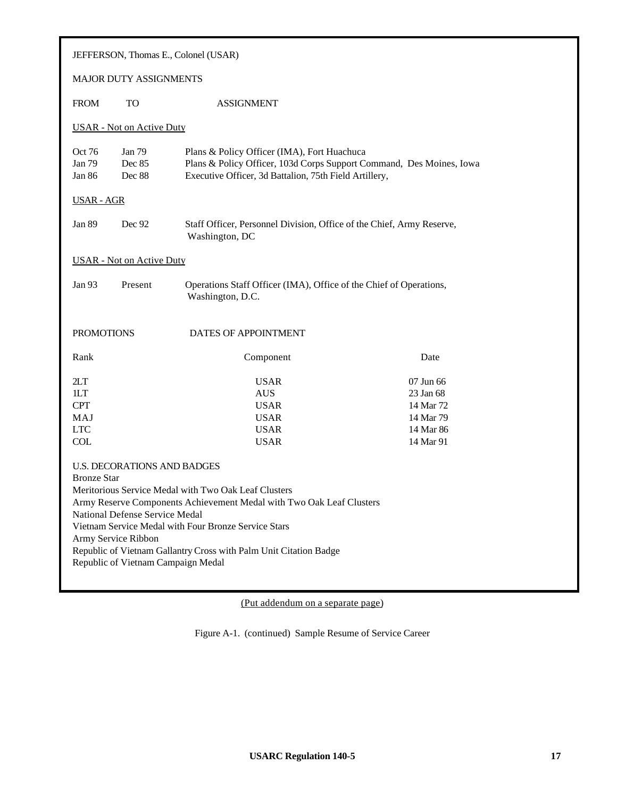| JEFFERSON, Thomas E., Colonel (USAR)                                                                                                                                                                                                                                                                                                                                                                                 |                                                                                                   |                                                                                                                                                                               |      |  |  |
|----------------------------------------------------------------------------------------------------------------------------------------------------------------------------------------------------------------------------------------------------------------------------------------------------------------------------------------------------------------------------------------------------------------------|---------------------------------------------------------------------------------------------------|-------------------------------------------------------------------------------------------------------------------------------------------------------------------------------|------|--|--|
| <b>MAJOR DUTY ASSIGNMENTS</b>                                                                                                                                                                                                                                                                                                                                                                                        |                                                                                                   |                                                                                                                                                                               |      |  |  |
| <b>FROM</b>                                                                                                                                                                                                                                                                                                                                                                                                          | <b>TO</b>                                                                                         | <b>ASSIGNMENT</b>                                                                                                                                                             |      |  |  |
|                                                                                                                                                                                                                                                                                                                                                                                                                      | <b>USAR</b> - Not on Active Duty                                                                  |                                                                                                                                                                               |      |  |  |
| Oct 76<br>Jan 79<br>Jan 86                                                                                                                                                                                                                                                                                                                                                                                           | Jan 79<br>Dec 85<br>Dec 88                                                                        | Plans & Policy Officer (IMA), Fort Huachuca<br>Plans & Policy Officer, 103d Corps Support Command, Des Moines, Iowa<br>Executive Officer, 3d Battalion, 75th Field Artillery, |      |  |  |
| USAR - AGR                                                                                                                                                                                                                                                                                                                                                                                                           |                                                                                                   |                                                                                                                                                                               |      |  |  |
| Jan 89                                                                                                                                                                                                                                                                                                                                                                                                               | Dec 92                                                                                            | Staff Officer, Personnel Division, Office of the Chief, Army Reserve,<br>Washington, DC                                                                                       |      |  |  |
|                                                                                                                                                                                                                                                                                                                                                                                                                      | <b>USAR</b> - Not on Active Duty                                                                  |                                                                                                                                                                               |      |  |  |
| Jan 93                                                                                                                                                                                                                                                                                                                                                                                                               | Present<br>Operations Staff Officer (IMA), Office of the Chief of Operations,<br>Washington, D.C. |                                                                                                                                                                               |      |  |  |
| <b>PROMOTIONS</b>                                                                                                                                                                                                                                                                                                                                                                                                    |                                                                                                   | DATES OF APPOINTMENT                                                                                                                                                          |      |  |  |
| Rank                                                                                                                                                                                                                                                                                                                                                                                                                 |                                                                                                   | Component                                                                                                                                                                     | Date |  |  |
| <b>USAR</b><br>2LT<br>07 Jun 66<br>1LT<br><b>AUS</b><br>23 Jan 68<br><b>CPT</b><br><b>USAR</b><br>14 Mar 72<br>MAJ<br><b>USAR</b><br>14 Mar 79<br><b>LTC</b><br><b>USAR</b><br>14 Mar 86<br>COL<br><b>USAR</b><br>14 Mar 91                                                                                                                                                                                          |                                                                                                   |                                                                                                                                                                               |      |  |  |
| <b>U.S. DECORATIONS AND BADGES</b><br><b>Bronze Star</b><br>Meritorious Service Medal with Two Oak Leaf Clusters<br>Army Reserve Components Achievement Medal with Two Oak Leaf Clusters<br>National Defense Service Medal<br>Vietnam Service Medal with Four Bronze Service Stars<br>Army Service Ribbon<br>Republic of Vietnam Gallantry Cross with Palm Unit Citation Badge<br>Republic of Vietnam Campaign Medal |                                                                                                   |                                                                                                                                                                               |      |  |  |

(Put addendum on a separate page)

Figure A-1. (continued) Sample Resume of Service Career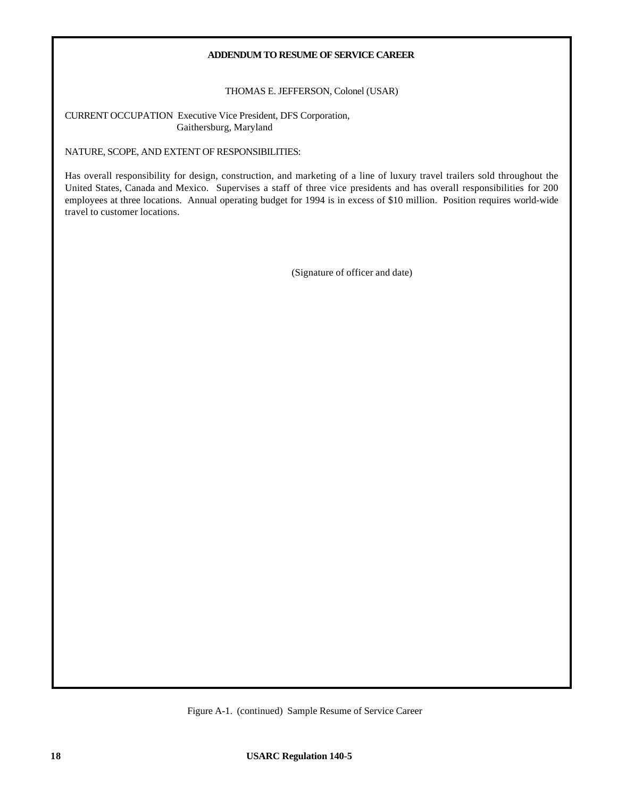### **ADDENDUM TO RESUME OF SERVICE CAREER**

THOMAS E. JEFFERSON, Colonel (USAR)

CURRENT OCCUPATION Executive Vice President, DFS Corporation, Gaithersburg, Maryland

NATURE, SCOPE, AND EXTENT OF RESPONSIBILITIES:

Has overall responsibility for design, construction, and marketing of a line of luxury travel trailers sold throughout the United States, Canada and Mexico. Supervises a staff of three vice presidents and has overall responsibilities for 200 employees at three locations. Annual operating budget for 1994 is in excess of \$10 million. Position requires world-wide travel to customer locations.

(Signature of officer and date)

Figure A-1. (continued) Sample Resume of Service Career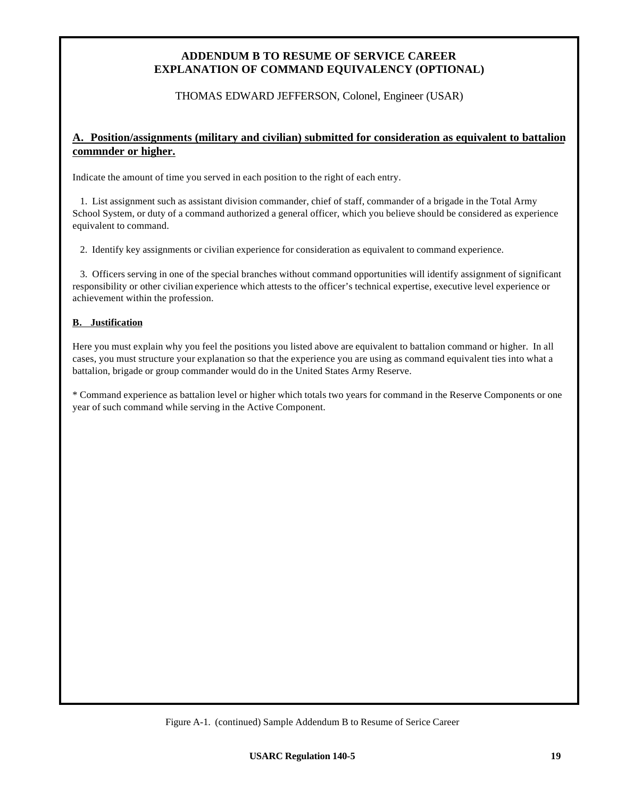## **ADDENDUM B TO RESUME OF SERVICE CAREER EXPLANATION OF COMMAND EQUIVALENCY (OPTIONAL)**

THOMAS EDWARD JEFFERSON, Colonel, Engineer (USAR)

## **A. Position/assignments (military and civilian) submitted for consideration as equivalent to battalion commnder or higher.**

Indicate the amount of time you served in each position to the right of each entry.

1. List assignment such as assistant division commander, chief of staff, commander of a brigade in the Total Army School System, or duty of a command authorized a general officer, which you believe should be considered as experience equivalent to command.

2. Identify key assignments or civilian experience for consideration as equivalent to command experience.

3. Officers serving in one of the special branches without command opportunities will identify assignment of significant responsibility or other civilian experience which attests to the officer's technical expertise, executive level experience or achievement within the profession.

## **B. Justification**

Here you must explain why you feel the positions you listed above are equivalent to battalion command or higher. In all cases, you must structure your explanation so that the experience you are using as command equivalent ties into what a battalion, brigade or group commander would do in the United States Army Reserve.

\* Command experience as battalion level or higher which totals two years for command in the Reserve Components or one year of such command while serving in the Active Component.

Figure A-1. (continued) Sample Addendum B to Resume of Serice Career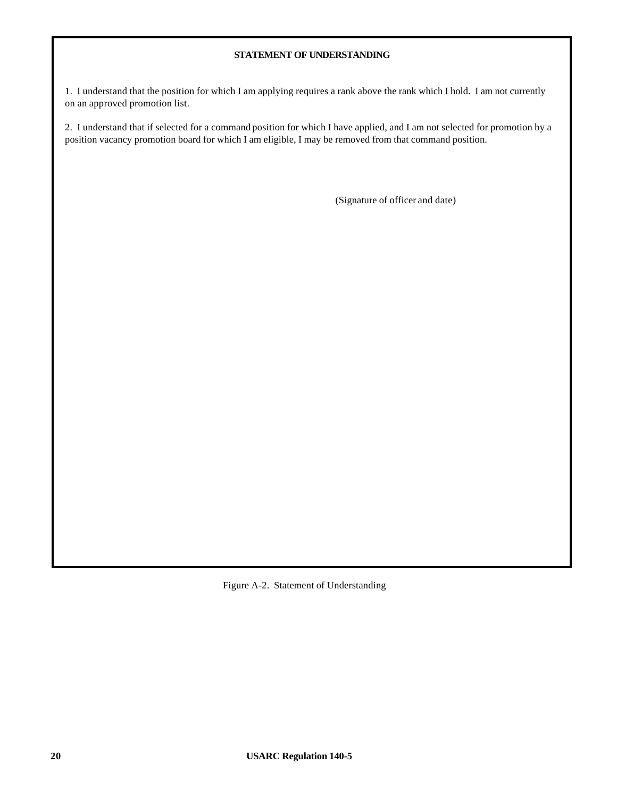## **STATEMENT OF UNDERSTANDING**

1. I understand that the position for which I am applying requires a rank above the rank which I hold. I am not currently on an approved promotion list.

2. I understand that if selected for a command position for which I have applied, and I am not selected for promotion by a position vacancy promotion board for which I am eligible, I may be removed from that command position.

(Signature of officer and date)

Figure A-2. Statement of Understanding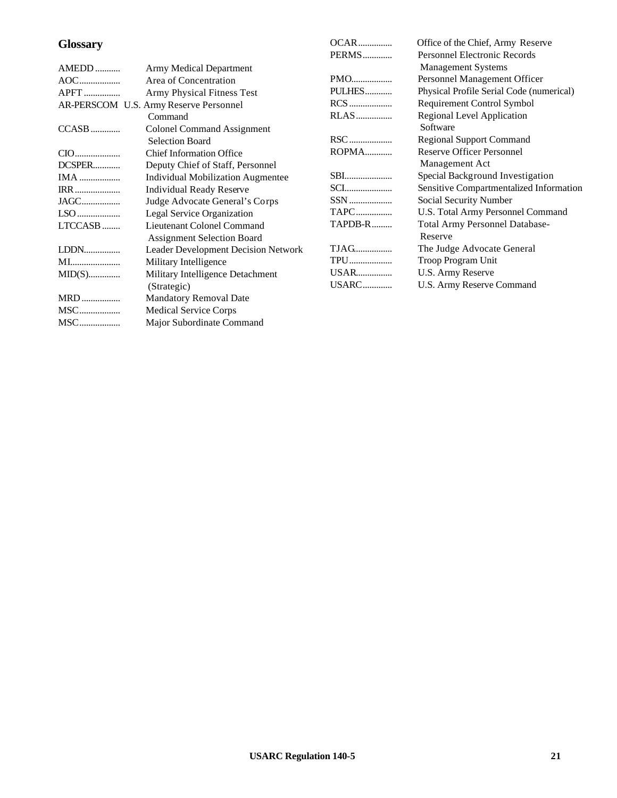# **Glossary**

|             |                                          | PERMS       | <b>Personnel Electronic Records</b>      |
|-------------|------------------------------------------|-------------|------------------------------------------|
| AMEDD       | Army Medical Department                  |             | <b>Management Systems</b>                |
|             | Area of Concentration                    |             | Personnel Management Officer             |
| <b>APFT</b> | Army Physical Fitness Test               | PULHES      | Physical Profile Serial Code (numerical) |
|             | AR-PERSCOM U.S. Army Reserve Personnel   | RCS         | Requirement Control Symbol               |
|             | Command                                  | <b>RLAS</b> | <b>Regional Level Application</b>        |
| CCASB       | <b>Colonel Command Assignment</b>        |             | Software                                 |
|             | <b>Selection Board</b>                   |             | <b>Regional Support Command</b>          |
|             | <b>Chief Information Office</b>          | ROPMA       | <b>Reserve Officer Personnel</b>         |
| DCSPER      | Deputy Chief of Staff, Personnel         |             | Management Act                           |
|             | <b>Individual Mobilization Augmentee</b> | <b>SBI</b>  | Special Background Investigation         |
| <b>IRR</b>  | Individual Ready Reserve                 | <b>SCI</b>  | Sensitive Compartmentalized Information  |
| JAGC        | Judge Advocate General's Corps           | SSN         | Social Security Number                   |
|             | Legal Service Organization               | <b>TAPC</b> | U.S. Total Army Personnel Command        |
| LTCCASB     | Lieutenant Colonel Command               | TAPDB-R     | Total Army Personnel Database-           |
|             | <b>Assignment Selection Board</b>        |             | Reserve                                  |
| LDDN        | Leader Development Decision Network      |             | The Judge Advocate General               |
| MI          | Military Intelligence                    | TPU         | Troop Program Unit                       |
|             | Military Intelligence Detachment         | USAR        | U.S. Army Reserve                        |
|             | (Strategic)                              | USARC       | U.S. Army Reserve Command                |
| <b>MRD</b>  | <b>Mandatory Removal Date</b>            |             |                                          |
|             | <b>Medical Service Corps</b>             |             |                                          |
|             | Major Subordinate Command                |             |                                          |
|             |                                          |             |                                          |

OCAR............... Office of the Chief, Army Reserve